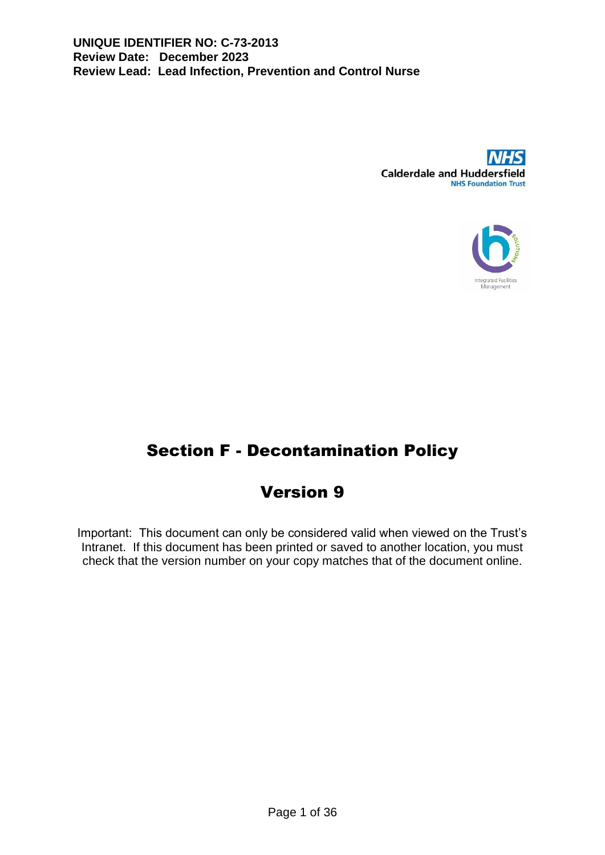



# Section F - Decontamination Policy

# Version 9

Important: This document can only be considered valid when viewed on the Trust's Intranet. If this document has been printed or saved to another location, you must check that the version number on your copy matches that of the document online.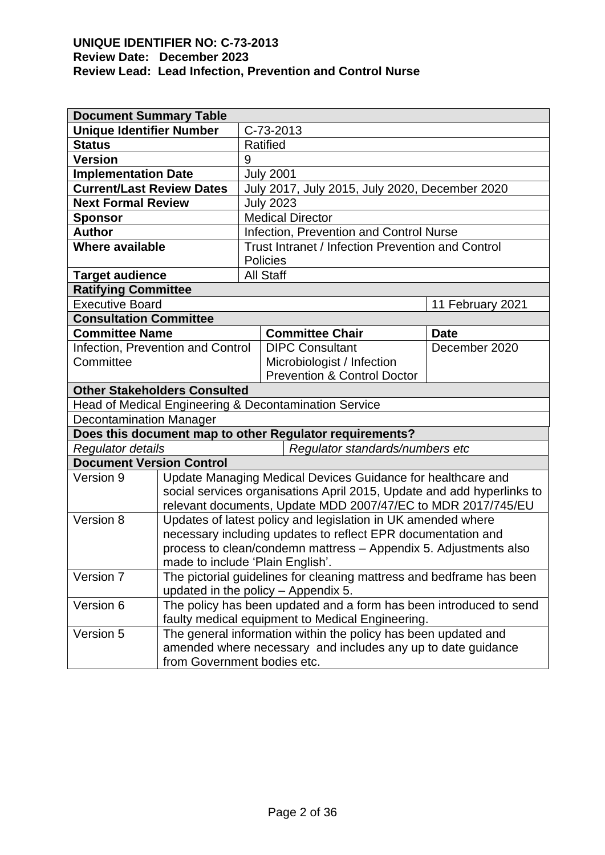| <b>Document Summary Table</b>       |                                                                                             |                         |                                                                    |                  |  |
|-------------------------------------|---------------------------------------------------------------------------------------------|-------------------------|--------------------------------------------------------------------|------------------|--|
| <b>Unique Identifier Number</b>     |                                                                                             |                         | C-73-2013                                                          |                  |  |
| <b>Status</b>                       | Ratified                                                                                    |                         |                                                                    |                  |  |
| <b>Version</b>                      |                                                                                             |                         |                                                                    |                  |  |
| <b>Implementation Date</b>          |                                                                                             |                         | <b>July 2001</b>                                                   |                  |  |
| <b>Current/Last Review Dates</b>    |                                                                                             |                         | July 2017, July 2015, July 2020, December 2020                     |                  |  |
| <b>Next Formal Review</b>           |                                                                                             | <b>July 2023</b>        |                                                                    |                  |  |
| <b>Sponsor</b>                      |                                                                                             | <b>Medical Director</b> |                                                                    |                  |  |
| <b>Author</b>                       |                                                                                             |                         | Infection, Prevention and Control Nurse                            |                  |  |
| <b>Where available</b>              |                                                                                             |                         | Trust Intranet / Infection Prevention and Control                  |                  |  |
|                                     |                                                                                             |                         | <b>Policies</b>                                                    |                  |  |
| <b>Target audience</b>              |                                                                                             |                         | <b>All Staff</b>                                                   |                  |  |
| <b>Ratifying Committee</b>          |                                                                                             |                         |                                                                    |                  |  |
| <b>Executive Board</b>              |                                                                                             |                         |                                                                    | 11 February 2021 |  |
| <b>Consultation Committee</b>       |                                                                                             |                         |                                                                    |                  |  |
| <b>Committee Name</b>               |                                                                                             |                         | <b>Committee Chair</b>                                             | <b>Date</b>      |  |
| Infection, Prevention and Control   |                                                                                             |                         | <b>DIPC Consultant</b>                                             | December 2020    |  |
| Committee                           |                                                                                             |                         | Microbiologist / Infection                                         |                  |  |
|                                     |                                                                                             |                         | <b>Prevention &amp; Control Doctor</b>                             |                  |  |
| <b>Other Stakeholders Consulted</b> |                                                                                             |                         |                                                                    |                  |  |
|                                     |                                                                                             |                         | Head of Medical Engineering & Decontamination Service              |                  |  |
| <b>Decontamination Manager</b>      |                                                                                             |                         |                                                                    |                  |  |
|                                     |                                                                                             |                         | Does this document map to other Regulator requirements?            |                  |  |
|                                     | Regulator details<br>Regulator standards/numbers etc                                        |                         |                                                                    |                  |  |
| <b>Document Version Control</b>     |                                                                                             |                         |                                                                    |                  |  |
| Version 9                           | Update Managing Medical Devices Guidance for healthcare and                                 |                         |                                                                    |                  |  |
|                                     | social services organisations April 2015, Update and add hyperlinks to                      |                         |                                                                    |                  |  |
|                                     | relevant documents, Update MDD 2007/47/EC to MDR 2017/745/EU                                |                         |                                                                    |                  |  |
| Version 8                           | Updates of latest policy and legislation in UK amended where                                |                         |                                                                    |                  |  |
|                                     | necessary including updates to reflect EPR documentation and                                |                         |                                                                    |                  |  |
|                                     | process to clean/condemn mattress - Appendix 5. Adjustments also                            |                         |                                                                    |                  |  |
|                                     | made to include 'Plain English'.                                                            |                         |                                                                    |                  |  |
| Version 7                           | The pictorial guidelines for cleaning mattress and bedframe has been                        |                         |                                                                    |                  |  |
|                                     |                                                                                             |                         | updated in the policy - Appendix 5.                                |                  |  |
| Version 6                           |                                                                                             |                         | The policy has been updated and a form has been introduced to send |                  |  |
| Version 5                           | faulty medical equipment to Medical Engineering.                                            |                         |                                                                    |                  |  |
|                                     | The general information within the policy has been updated and                              |                         |                                                                    |                  |  |
|                                     | amended where necessary and includes any up to date guidance<br>from Government bodies etc. |                         |                                                                    |                  |  |
|                                     |                                                                                             |                         |                                                                    |                  |  |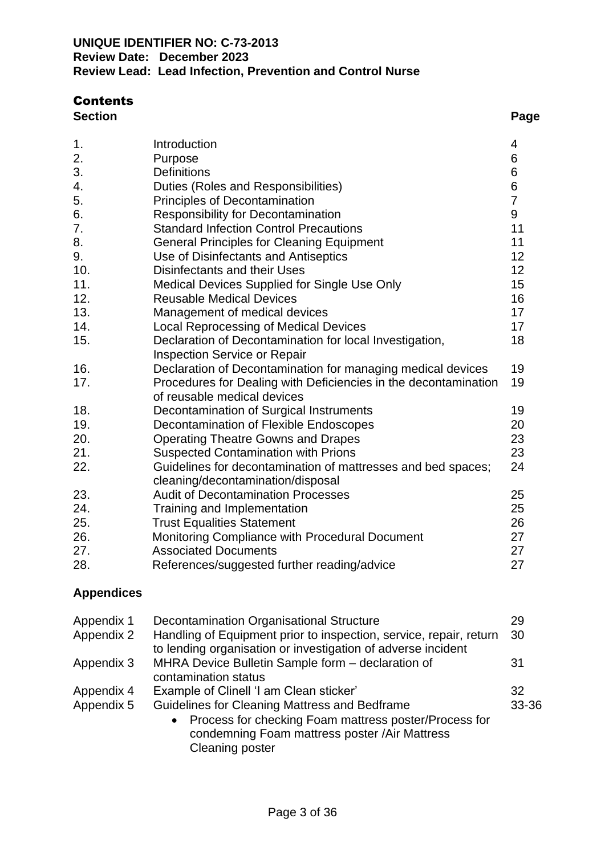## **Contents**

| <b>Section</b> | Page |
|----------------|------|
|                |      |

| 1.  | Introduction                                                                                   | 4               |
|-----|------------------------------------------------------------------------------------------------|-----------------|
| 2.  | Purpose                                                                                        | 6               |
| 3.  | <b>Definitions</b>                                                                             | 6               |
| 4.  | Duties (Roles and Responsibilities)                                                            | $6\phantom{a}$  |
| 5.  | <b>Principles of Decontamination</b>                                                           | $\overline{7}$  |
| 6.  | <b>Responsibility for Decontamination</b>                                                      | 9               |
| 7.  | <b>Standard Infection Control Precautions</b>                                                  | 11              |
| 8.  | <b>General Principles for Cleaning Equipment</b>                                               | 11              |
| 9.  | Use of Disinfectants and Antiseptics                                                           | 12 <sub>2</sub> |
| 10. | Disinfectants and their Uses                                                                   | 12 <sub>2</sub> |
| 11. | Medical Devices Supplied for Single Use Only                                                   | 15              |
| 12. | <b>Reusable Medical Devices</b>                                                                | 16              |
| 13. | Management of medical devices                                                                  | 17              |
| 14. | <b>Local Reprocessing of Medical Devices</b>                                                   | 17              |
| 15. | Declaration of Decontamination for local Investigation,                                        | 18              |
|     | <b>Inspection Service or Repair</b>                                                            |                 |
| 16. | Declaration of Decontamination for managing medical devices                                    | 19              |
| 17. | Procedures for Dealing with Deficiencies in the decontamination<br>of reusable medical devices | 19              |
| 18. | Decontamination of Surgical Instruments                                                        | 19              |
| 19. | Decontamination of Flexible Endoscopes                                                         | 20              |
| 20. | <b>Operating Theatre Gowns and Drapes</b>                                                      | 23              |
| 21. | <b>Suspected Contamination with Prions</b>                                                     | 23              |
| 22. | Guidelines for decontamination of mattresses and bed spaces;                                   | 24              |
|     | cleaning/decontamination/disposal                                                              |                 |
| 23. | <b>Audit of Decontamination Processes</b>                                                      | 25              |
| 24. | Training and Implementation                                                                    | 25              |
| 25. | <b>Trust Equalities Statement</b>                                                              | 26              |
| 26. | Monitoring Compliance with Procedural Document                                                 | 27              |
| 27. | <b>Associated Documents</b>                                                                    | 27              |
| 28. | References/suggested further reading/advice                                                    | 27              |

## **Appendices**

| Appendix 1<br>Appendix 2 | <b>Decontamination Organisational Structure</b><br>Handling of Equipment prior to inspection, service, repair, return<br>to lending organisation or investigation of adverse incident                                                     | 29<br>30    |
|--------------------------|-------------------------------------------------------------------------------------------------------------------------------------------------------------------------------------------------------------------------------------------|-------------|
| Appendix 3               | MHRA Device Bulletin Sample form - declaration of<br>contamination status                                                                                                                                                                 | 31          |
| Appendix 4<br>Appendix 5 | Example of Clinell 'I am Clean sticker'<br>Guidelines for Cleaning Mattress and Bedframe<br>Process for checking Foam mattress poster/Process for<br>$\bullet$<br>condemning Foam mattress poster /Air Mattress<br><b>Cleaning poster</b> | 32<br>33-36 |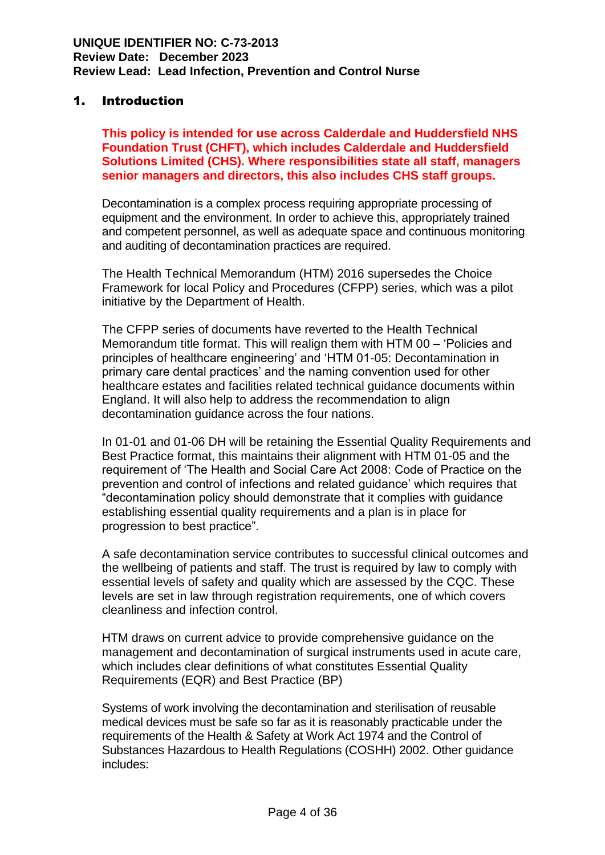## 1. Introduction

**This policy is intended for use across Calderdale and Huddersfield NHS Foundation Trust (CHFT), which includes Calderdale and Huddersfield Solutions Limited (CHS). Where responsibilities state all staff, managers senior managers and directors, this also includes CHS staff groups.**

Decontamination is a complex process requiring appropriate processing of equipment and the environment. In order to achieve this, appropriately trained and competent personnel, as well as adequate space and continuous monitoring and auditing of decontamination practices are required.

The Health Technical Memorandum (HTM) 2016 supersedes the Choice Framework for local Policy and Procedures (CFPP) series, which was a pilot initiative by the Department of Health.

The CFPP series of documents have reverted to the Health Technical Memorandum title format. This will realign them with HTM 00 – 'Policies and principles of healthcare engineering' and 'HTM 01-05: Decontamination in primary care dental practices' and the naming convention used for other healthcare estates and facilities related technical guidance documents within England. It will also help to address the recommendation to align decontamination guidance across the four nations.

In 01-01 and 01-06 DH will be retaining the Essential Quality Requirements and Best Practice format, this maintains their alignment with HTM 01-05 and the requirement of 'The Health and Social Care Act 2008: Code of Practice on the prevention and control of infections and related guidance' which requires that "decontamination policy should demonstrate that it complies with guidance establishing essential quality requirements and a plan is in place for progression to best practice".

A safe decontamination service contributes to successful clinical outcomes and the wellbeing of patients and staff. The trust is required by law to comply with essential levels of safety and quality which are assessed by the CQC. These levels are set in law through registration requirements, one of which covers cleanliness and infection control.

HTM draws on current advice to provide comprehensive guidance on the management and decontamination of surgical instruments used in acute care, which includes clear definitions of what constitutes Essential Quality Requirements (EQR) and Best Practice (BP)

Systems of work involving the decontamination and sterilisation of reusable medical devices must be safe so far as it is reasonably practicable under the requirements of the Health & Safety at Work Act 1974 and the Control of Substances Hazardous to Health Regulations (COSHH) 2002. Other guidance includes: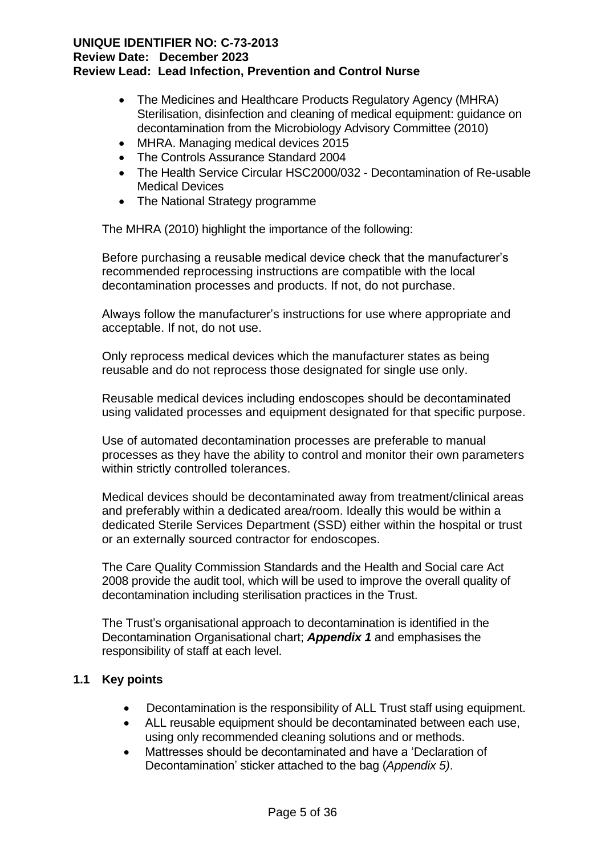- The Medicines and Healthcare Products Regulatory Agency (MHRA) Sterilisation, disinfection and cleaning of medical equipment: guidance on decontamination from the Microbiology Advisory Committee (2010)
- MHRA. Managing medical devices 2015
- The Controls Assurance Standard 2004
- The Health Service Circular HSC2000/032 Decontamination of Re-usable Medical Devices
- The National Strategy programme

The MHRA (2010) highlight the importance of the following:

Before purchasing a reusable medical device check that the manufacturer's recommended reprocessing instructions are compatible with the local decontamination processes and products. If not, do not purchase.

Always follow the manufacturer's instructions for use where appropriate and acceptable. If not, do not use.

Only reprocess medical devices which the manufacturer states as being reusable and do not reprocess those designated for single use only.

Reusable medical devices including endoscopes should be decontaminated using validated processes and equipment designated for that specific purpose.

Use of automated decontamination processes are preferable to manual processes as they have the ability to control and monitor their own parameters within strictly controlled tolerances.

Medical devices should be decontaminated away from treatment/clinical areas and preferably within a dedicated area/room. Ideally this would be within a dedicated Sterile Services Department (SSD) either within the hospital or trust or an externally sourced contractor for endoscopes.

The Care Quality Commission Standards and the Health and Social care Act 2008 provide the audit tool, which will be used to improve the overall quality of decontamination including sterilisation practices in the Trust.

The Trust's organisational approach to decontamination is identified in the Decontamination Organisational chart; *Appendix 1* and emphasises the responsibility of staff at each level.

## **1.1 Key points**

- Decontamination is the responsibility of ALL Trust staff using equipment.
- ALL reusable equipment should be decontaminated between each use, using only recommended cleaning solutions and or methods.
- Mattresses should be decontaminated and have a 'Declaration of Decontamination' sticker attached to the bag (*Appendix 5)*.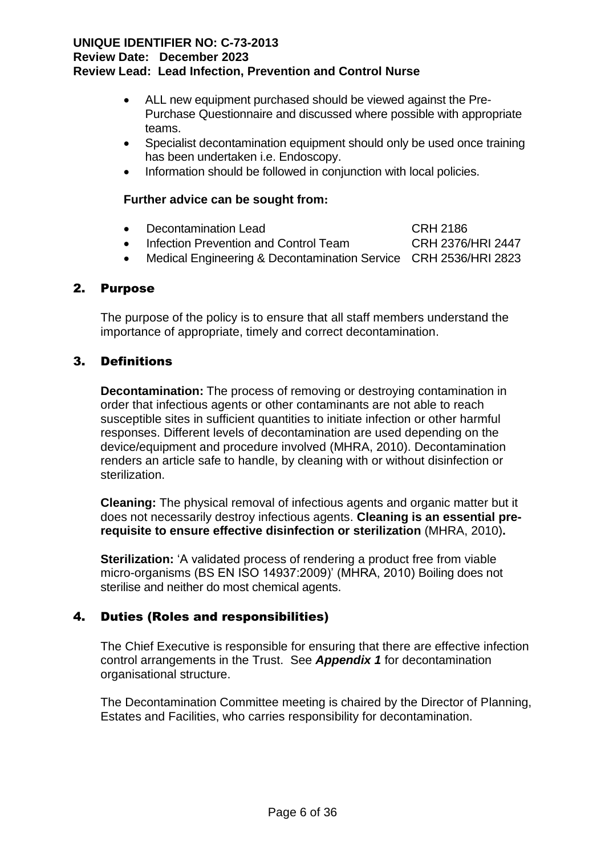- ALL new equipment purchased should be viewed against the Pre-Purchase Questionnaire and discussed where possible with appropriate teams.
- Specialist decontamination equipment should only be used once training has been undertaken i.e. Endoscopy.
- Information should be followed in conjunction with local policies.

## **Further advice can be sought from:**

- Decontamination Lead CRH 2186
- Infection Prevention and Control Team CRH 2376/HRI 2447
- Medical Engineering & Decontamination Service CRH 2536/HRI 2823

## 2. Purpose

The purpose of the policy is to ensure that all staff members understand the importance of appropriate, timely and correct decontamination.

## 3. Definitions

**Decontamination:** The process of removing or destroying contamination in order that infectious agents or other contaminants are not able to reach susceptible sites in sufficient quantities to initiate infection or other harmful responses. Different levels of decontamination are used depending on the device/equipment and procedure involved (MHRA, 2010). Decontamination renders an article safe to handle, by cleaning with or without disinfection or sterilization.

**Cleaning:** The physical removal of infectious agents and organic matter but it does not necessarily destroy infectious agents. **Cleaning is an essential prerequisite to ensure effective disinfection or sterilization** (MHRA, 2010)**.**

**Sterilization:** 'A validated process of rendering a product free from viable micro-organisms (BS EN ISO 14937:2009)' (MHRA, 2010) Boiling does not sterilise and neither do most chemical agents.

## 4. Duties (Roles and responsibilities)

The Chief Executive is responsible for ensuring that there are effective infection control arrangements in the Trust. See *Appendix 1* for decontamination organisational structure.

 The Decontamination Committee meeting is chaired by the Director of Planning, Estates and Facilities, who carries responsibility for decontamination.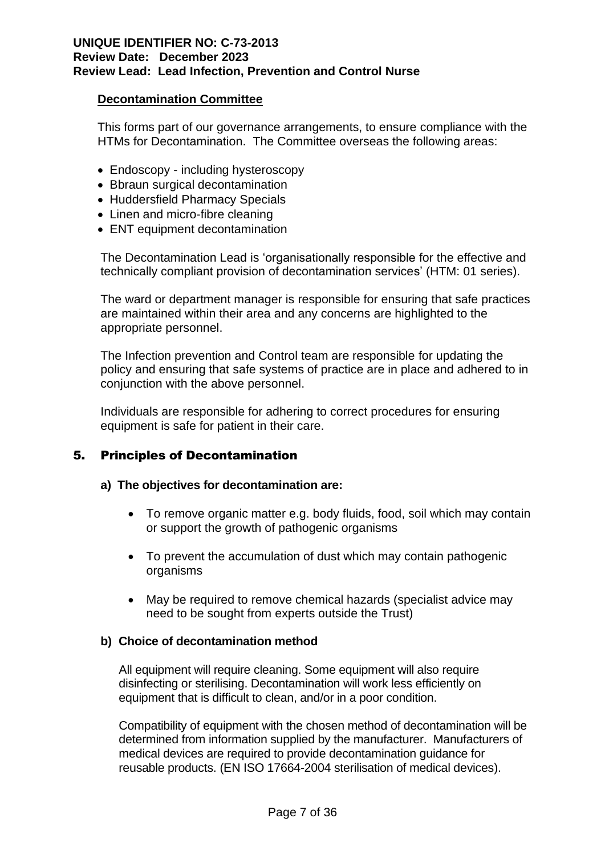#### **Decontamination Committee**

This forms part of our governance arrangements, to ensure compliance with the HTMs for Decontamination. The Committee overseas the following areas:

- Endoscopy including hysteroscopy
- Bbraun surgical decontamination
- Huddersfield Pharmacy Specials
- Linen and micro-fibre cleaning
- ENT equipment decontamination

The Decontamination Lead is 'organisationally responsible for the effective and technically compliant provision of decontamination services' (HTM: 01 series).

The ward or department manager is responsible for ensuring that safe practices are maintained within their area and any concerns are highlighted to the appropriate personnel.

The Infection prevention and Control team are responsible for updating the policy and ensuring that safe systems of practice are in place and adhered to in conjunction with the above personnel.

Individuals are responsible for adhering to correct procedures for ensuring equipment is safe for patient in their care.

## 5. Principles of Decontamination

#### **a) The objectives for decontamination are:**

- To remove organic matter e.g. body fluids, food, soil which may contain or support the growth of pathogenic organisms
- To prevent the accumulation of dust which may contain pathogenic organisms
- May be required to remove chemical hazards (specialist advice may need to be sought from experts outside the Trust)

#### **b) Choice of decontamination method**

All equipment will require cleaning. Some equipment will also require disinfecting or sterilising. Decontamination will work less efficiently on equipment that is difficult to clean, and/or in a poor condition.

Compatibility of equipment with the chosen method of decontamination will be determined from information supplied by the manufacturer. Manufacturers of medical devices are required to provide decontamination guidance for reusable products. (EN ISO 17664-2004 sterilisation of medical devices).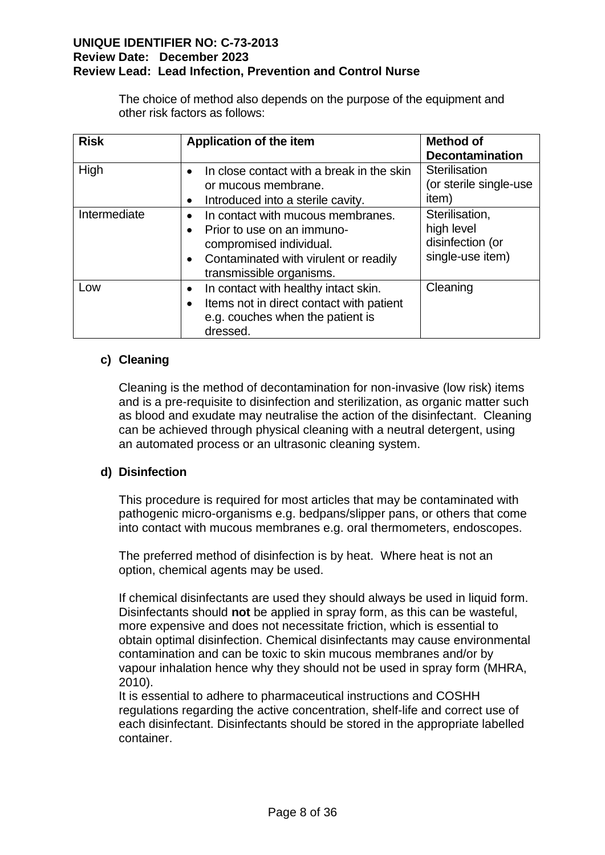The choice of method also depends on the purpose of the equipment and other risk factors as follows:

| <b>Risk</b>  | Application of the item                                                                                                                                         | <b>Method of</b><br><b>Decontamination</b>                           |
|--------------|-----------------------------------------------------------------------------------------------------------------------------------------------------------------|----------------------------------------------------------------------|
| High         | In close contact with a break in the skin<br>or mucous membrane.<br>Introduced into a sterile cavity.                                                           | Sterilisation<br>(or sterile single-use<br>item)                     |
| Intermediate | In contact with mucous membranes.<br>Prior to use on an immuno-<br>compromised individual.<br>Contaminated with virulent or readily<br>transmissible organisms. | Sterilisation,<br>high level<br>disinfection (or<br>single-use item) |
| Low          | In contact with healthy intact skin.<br>Items not in direct contact with patient<br>e.g. couches when the patient is<br>dressed.                                | Cleaning                                                             |

## **c) Cleaning**

Cleaning is the method of decontamination for non-invasive (low risk) items and is a pre-requisite to disinfection and sterilization, as organic matter such as blood and exudate may neutralise the action of the disinfectant. Cleaning can be achieved through physical cleaning with a neutral detergent, using an automated process or an ultrasonic cleaning system.

## **d) Disinfection**

This procedure is required for most articles that may be contaminated with pathogenic micro-organisms e.g. bedpans/slipper pans, or others that come into contact with mucous membranes e.g. oral thermometers, endoscopes.

The preferred method of disinfection is by heat. Where heat is not an option, chemical agents may be used.

If chemical disinfectants are used they should always be used in liquid form. Disinfectants should **not** be applied in spray form, as this can be wasteful, more expensive and does not necessitate friction, which is essential to obtain optimal disinfection. Chemical disinfectants may cause environmental contamination and can be toxic to skin mucous membranes and/or by vapour inhalation hence why they should not be used in spray form (MHRA, 2010).

It is essential to adhere to pharmaceutical instructions and COSHH regulations regarding the active concentration, shelf-life and correct use of each disinfectant. Disinfectants should be stored in the appropriate labelled container.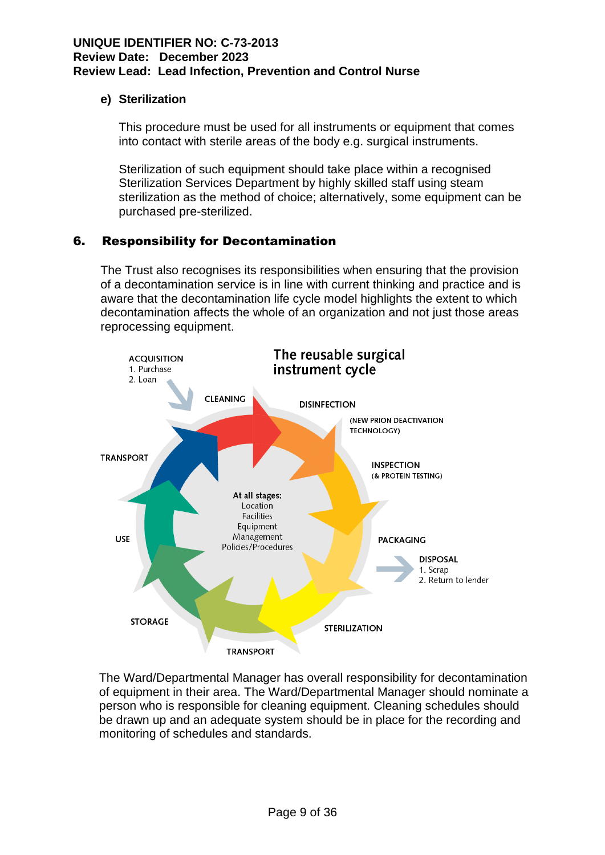## **e) Sterilization**

This procedure must be used for all instruments or equipment that comes into contact with sterile areas of the body e.g. surgical instruments.

Sterilization of such equipment should take place within a recognised Sterilization Services Department by highly skilled staff using steam sterilization as the method of choice; alternatively, some equipment can be purchased pre-sterilized.

## 6. Responsibility for Decontamination

The Trust also recognises its responsibilities when ensuring that the provision of a decontamination service is in line with current thinking and practice and is aware that the decontamination life cycle model highlights the extent to which decontamination affects the whole of an organization and not just those areas reprocessing equipment.



The Ward/Departmental Manager has overall responsibility for decontamination of equipment in their area. The Ward/Departmental Manager should nominate a person who is responsible for cleaning equipment. Cleaning schedules should be drawn up and an adequate system should be in place for the recording and monitoring of schedules and standards.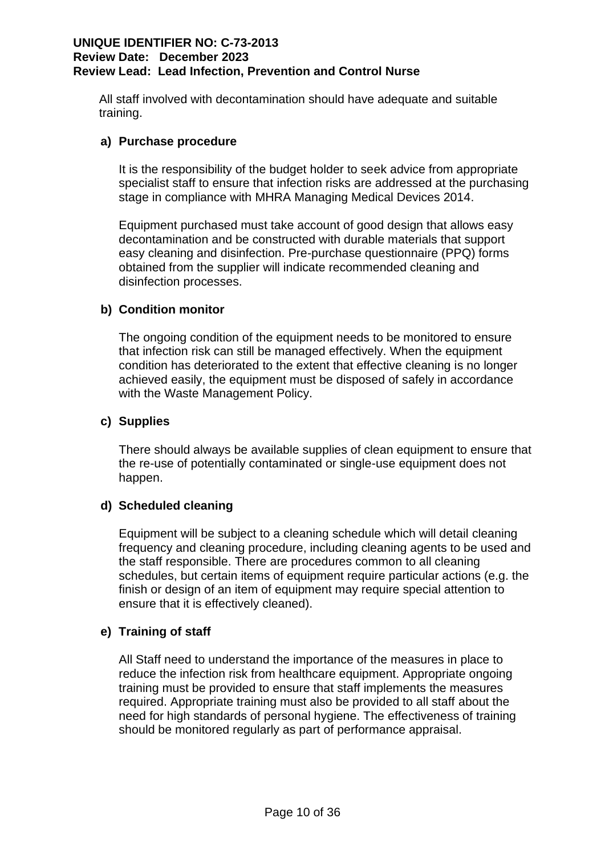All staff involved with decontamination should have adequate and suitable training.

## **a) Purchase procedure**

It is the responsibility of the budget holder to seek advice from appropriate specialist staff to ensure that infection risks are addressed at the purchasing stage in compliance with MHRA Managing Medical Devices 2014.

Equipment purchased must take account of good design that allows easy decontamination and be constructed with durable materials that support easy cleaning and disinfection. Pre-purchase questionnaire (PPQ) forms obtained from the supplier will indicate recommended cleaning and disinfection processes.

## **b) Condition monitor**

The ongoing condition of the equipment needs to be monitored to ensure that infection risk can still be managed effectively. When the equipment condition has deteriorated to the extent that effective cleaning is no longer achieved easily, the equipment must be disposed of safely in accordance with the Waste Management Policy.

## **c) Supplies**

There should always be available supplies of clean equipment to ensure that the re-use of potentially contaminated or single-use equipment does not happen.

## **d) Scheduled cleaning**

Equipment will be subject to a cleaning schedule which will detail cleaning frequency and cleaning procedure, including cleaning agents to be used and the staff responsible. There are procedures common to all cleaning schedules, but certain items of equipment require particular actions (e.g. the finish or design of an item of equipment may require special attention to ensure that it is effectively cleaned).

## **e) Training of staff**

All Staff need to understand the importance of the measures in place to reduce the infection risk from healthcare equipment. Appropriate ongoing training must be provided to ensure that staff implements the measures required. Appropriate training must also be provided to all staff about the need for high standards of personal hygiene. The effectiveness of training should be monitored regularly as part of performance appraisal.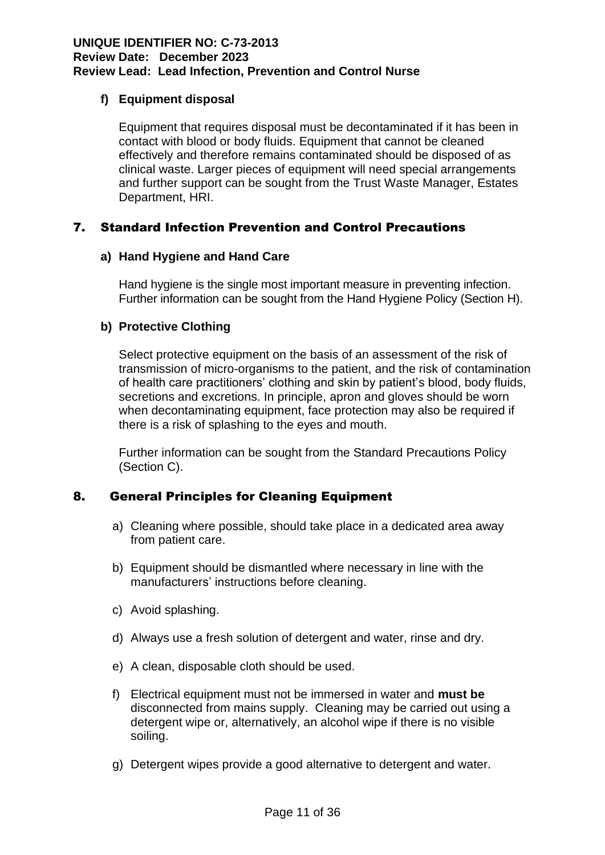## **f) Equipment disposal**

Equipment that requires disposal must be decontaminated if it has been in contact with blood or body fluids. Equipment that cannot be cleaned effectively and therefore remains contaminated should be disposed of as clinical waste. Larger pieces of equipment will need special arrangements and further support can be sought from the Trust Waste Manager, Estates Department, HRI.

## 7. Standard Infection Prevention and Control Precautions

## **a) Hand Hygiene and Hand Care**

Hand hygiene is the single most important measure in preventing infection. Further information can be sought from the Hand Hygiene Policy (Section H).

## **b) Protective Clothing**

Select protective equipment on the basis of an assessment of the risk of transmission of micro-organisms to the patient, and the risk of contamination of health care practitioners' clothing and skin by patient's blood, body fluids, secretions and excretions. In principle, apron and gloves should be worn when decontaminating equipment, face protection may also be required if there is a risk of splashing to the eyes and mouth.

Further information can be sought from the Standard Precautions Policy (Section C).

## 8. General Principles for Cleaning Equipment

- a) Cleaning where possible, should take place in a dedicated area away from patient care.
- b) Equipment should be dismantled where necessary in line with the manufacturers' instructions before cleaning.
- c) Avoid splashing.
- d) Always use a fresh solution of detergent and water, rinse and dry.
- e) A clean, disposable cloth should be used.
- f) Electrical equipment must not be immersed in water and **must be**  disconnected from mains supply. Cleaning may be carried out using a detergent wipe or, alternatively, an alcohol wipe if there is no visible soiling.
- g) Detergent wipes provide a good alternative to detergent and water.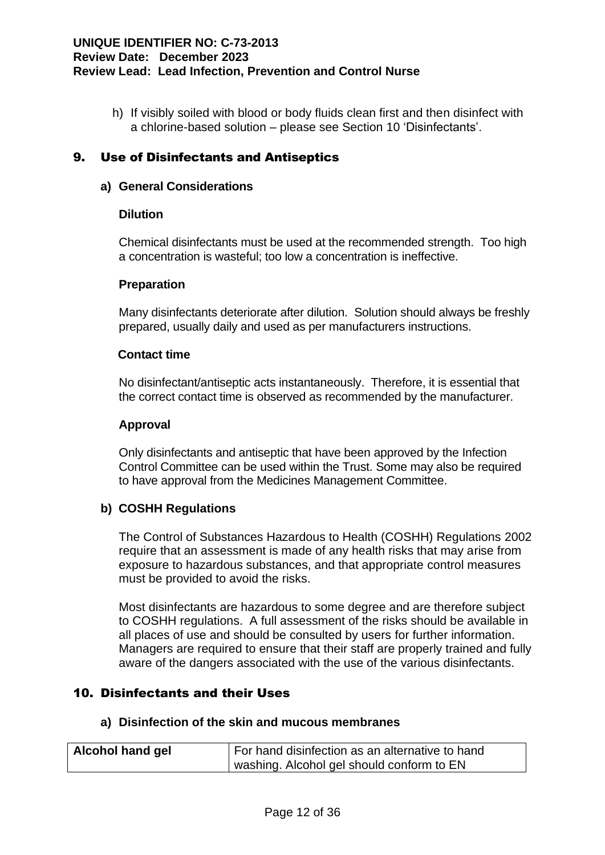h) If visibly soiled with blood or body fluids clean first and then disinfect with a chlorine-based solution – please see Section 10 'Disinfectants'.

## 9. Use of Disinfectants and Antiseptics

## **a) General Considerations**

## **Dilution**

Chemical disinfectants must be used at the recommended strength. Too high a concentration is wasteful; too low a concentration is ineffective.

#### **Preparation**

Many disinfectants deteriorate after dilution. Solution should always be freshly prepared, usually daily and used as per manufacturers instructions.

#### **Contact time**

No disinfectant/antiseptic acts instantaneously. Therefore, it is essential that the correct contact time is observed as recommended by the manufacturer.

#### **Approval**

Only disinfectants and antiseptic that have been approved by the Infection Control Committee can be used within the Trust. Some may also be required to have approval from the Medicines Management Committee.

## **b) COSHH Regulations**

The Control of Substances Hazardous to Health (COSHH) Regulations 2002 require that an assessment is made of any health risks that may arise from exposure to hazardous substances, and that appropriate control measures must be provided to avoid the risks.

Most disinfectants are hazardous to some degree and are therefore subject to COSHH regulations. A full assessment of the risks should be available in all places of use and should be consulted by users for further information. Managers are required to ensure that their staff are properly trained and fully aware of the dangers associated with the use of the various disinfectants.

## 10. Disinfectants and their Uses

#### **a) Disinfection of the skin and mucous membranes**

| Alcohol hand gel | For hand disinfection as an alternative to hand |
|------------------|-------------------------------------------------|
|                  | washing. Alcohol gel should conform to EN       |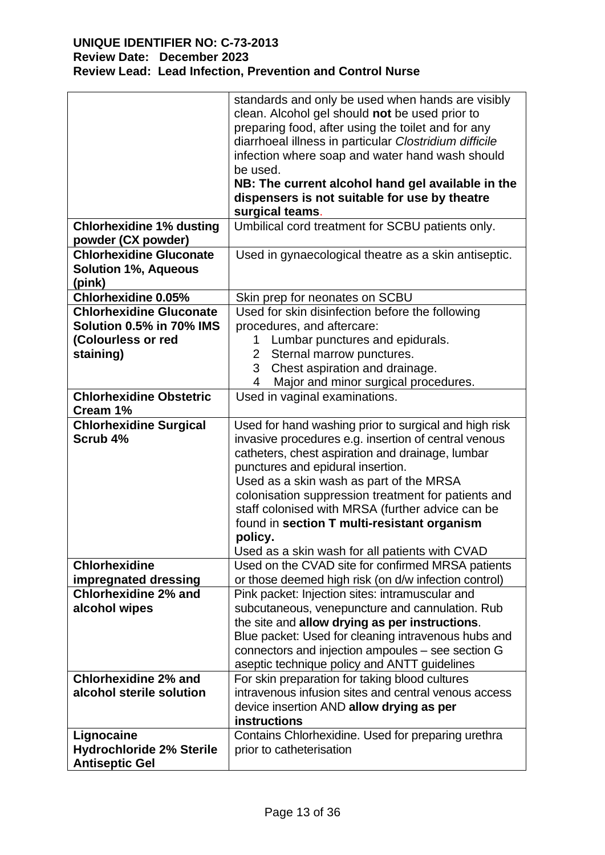|                                                                         | standards and only be used when hands are visibly<br>clean. Alcohol gel should not be used prior to<br>preparing food, after using the toilet and for any<br>diarrhoeal illness in particular Clostridium difficile<br>infection where soap and water hand wash should |  |  |
|-------------------------------------------------------------------------|------------------------------------------------------------------------------------------------------------------------------------------------------------------------------------------------------------------------------------------------------------------------|--|--|
|                                                                         | be used.                                                                                                                                                                                                                                                               |  |  |
|                                                                         | NB: The current alcohol hand gel available in the                                                                                                                                                                                                                      |  |  |
|                                                                         | dispensers is not suitable for use by theatre                                                                                                                                                                                                                          |  |  |
|                                                                         | surgical teams.                                                                                                                                                                                                                                                        |  |  |
| <b>Chlorhexidine 1% dusting</b><br>powder (CX powder)                   | Umbilical cord treatment for SCBU patients only.                                                                                                                                                                                                                       |  |  |
| <b>Chlorhexidine Gluconate</b><br><b>Solution 1%, Aqueous</b><br>(pink) | Used in gynaecological theatre as a skin antiseptic.                                                                                                                                                                                                                   |  |  |
| <b>Chlorhexidine 0.05%</b>                                              | Skin prep for neonates on SCBU                                                                                                                                                                                                                                         |  |  |
| <b>Chlorhexidine Gluconate</b>                                          | Used for skin disinfection before the following                                                                                                                                                                                                                        |  |  |
| Solution 0.5% in 70% IMS                                                | procedures, and aftercare:                                                                                                                                                                                                                                             |  |  |
| (Colourless or red                                                      | Lumbar punctures and epidurals.<br>1.                                                                                                                                                                                                                                  |  |  |
| staining)                                                               | Sternal marrow punctures.<br>$\mathbf{2}^{\mathsf{I}}$                                                                                                                                                                                                                 |  |  |
|                                                                         | Chest aspiration and drainage.<br>3                                                                                                                                                                                                                                    |  |  |
| <b>Chlorhexidine Obstetric</b>                                          | Major and minor surgical procedures.<br>4<br>Used in vaginal examinations.                                                                                                                                                                                             |  |  |
| Cream 1%                                                                |                                                                                                                                                                                                                                                                        |  |  |
| <b>Chlorhexidine Surgical</b>                                           | Used for hand washing prior to surgical and high risk                                                                                                                                                                                                                  |  |  |
| Scrub 4%                                                                | invasive procedures e.g. insertion of central venous                                                                                                                                                                                                                   |  |  |
|                                                                         | catheters, chest aspiration and drainage, lumbar                                                                                                                                                                                                                       |  |  |
|                                                                         | punctures and epidural insertion.                                                                                                                                                                                                                                      |  |  |
|                                                                         | Used as a skin wash as part of the MRSA                                                                                                                                                                                                                                |  |  |
|                                                                         | colonisation suppression treatment for patients and                                                                                                                                                                                                                    |  |  |
|                                                                         | staff colonised with MRSA (further advice can be<br>found in section T multi-resistant organism                                                                                                                                                                        |  |  |
|                                                                         | policy.                                                                                                                                                                                                                                                                |  |  |
|                                                                         | Used as a skin wash for all patients with CVAD                                                                                                                                                                                                                         |  |  |
| <b>Chlorhexidine</b>                                                    | Used on the CVAD site for confirmed MRSA patients                                                                                                                                                                                                                      |  |  |
| impregnated dressing                                                    | or those deemed high risk (on d/w infection control)                                                                                                                                                                                                                   |  |  |
| <b>Chlorhexidine 2% and</b>                                             | Pink packet: Injection sites: intramuscular and                                                                                                                                                                                                                        |  |  |
| alcohol wipes                                                           | subcutaneous, venepuncture and cannulation. Rub                                                                                                                                                                                                                        |  |  |
|                                                                         | the site and allow drying as per instructions.                                                                                                                                                                                                                         |  |  |
|                                                                         | Blue packet: Used for cleaning intravenous hubs and                                                                                                                                                                                                                    |  |  |
|                                                                         | connectors and injection ampoules - see section G                                                                                                                                                                                                                      |  |  |
| <b>Chlorhexidine 2% and</b>                                             | aseptic technique policy and ANTT guidelines<br>For skin preparation for taking blood cultures                                                                                                                                                                         |  |  |
| alcohol sterile solution                                                | intravenous infusion sites and central venous access                                                                                                                                                                                                                   |  |  |
|                                                                         | device insertion AND allow drying as per                                                                                                                                                                                                                               |  |  |
|                                                                         | instructions                                                                                                                                                                                                                                                           |  |  |
| Lignocaine                                                              | Contains Chlorhexidine. Used for preparing urethra                                                                                                                                                                                                                     |  |  |
| <b>Hydrochloride 2% Sterile</b>                                         | prior to catheterisation                                                                                                                                                                                                                                               |  |  |
| <b>Antiseptic Gel</b>                                                   |                                                                                                                                                                                                                                                                        |  |  |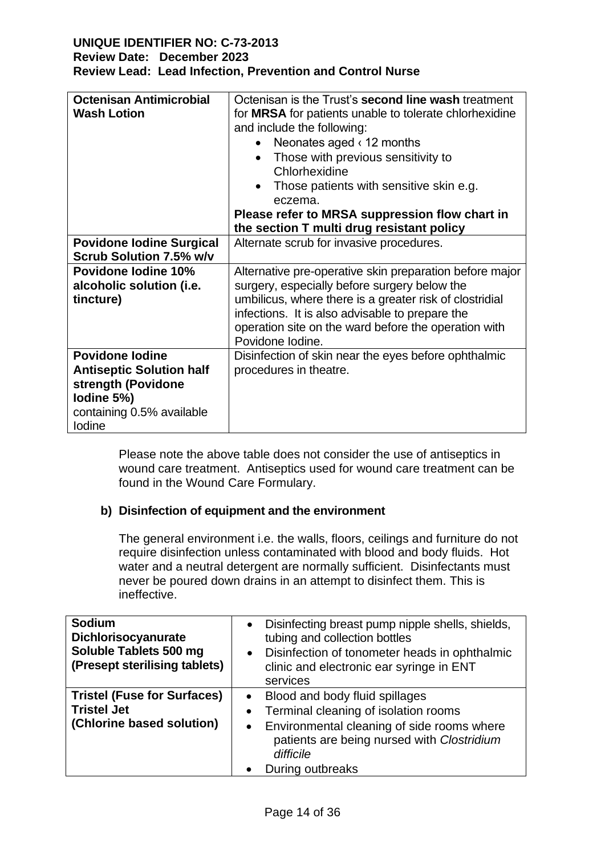| <b>Octenisan Antimicrobial</b><br><b>Wash Lotion</b>                                                                                     | Octenisan is the Trust's <b>second line wash</b> treatment<br>for MRSA for patients unable to tolerate chlorhexidine<br>and include the following:<br>Neonates aged $\langle$ 12 months<br>Those with previous sensitivity to<br>Chlorhexidine<br>Those patients with sensitive skin e.g.<br>eczema.<br>Please refer to MRSA suppression flow chart in<br>the section T multi drug resistant policy |
|------------------------------------------------------------------------------------------------------------------------------------------|-----------------------------------------------------------------------------------------------------------------------------------------------------------------------------------------------------------------------------------------------------------------------------------------------------------------------------------------------------------------------------------------------------|
| <b>Povidone Iodine Surgical</b><br><b>Scrub Solution 7.5% w/v</b><br><b>Povidone lodine 10%</b><br>alcoholic solution (i.e.<br>tincture) | Alternate scrub for invasive procedures.<br>Alternative pre-operative skin preparation before major<br>surgery, especially before surgery below the<br>umbilicus, where there is a greater risk of clostridial<br>infections. It is also advisable to prepare the<br>operation site on the ward before the operation with                                                                           |
| <b>Povidone lodine</b><br><b>Antiseptic Solution half</b><br>strength (Povidone<br>Iodine 5%)                                            | Povidone lodine.<br>Disinfection of skin near the eyes before ophthalmic<br>procedures in theatre.                                                                                                                                                                                                                                                                                                  |
| containing 0.5% available<br>lodine                                                                                                      |                                                                                                                                                                                                                                                                                                                                                                                                     |

Please note the above table does not consider the use of antiseptics in wound care treatment. Antiseptics used for wound care treatment can be found in the Wound Care Formulary.

## **b) Disinfection of equipment and the environment**

The general environment i.e. the walls, floors, ceilings and furniture do not require disinfection unless contaminated with blood and body fluids. Hot water and a neutral detergent are normally sufficient. Disinfectants must never be poured down drains in an attempt to disinfect them. This is ineffective.

| <b>Sodium</b><br><b>Dichlorisocyanurate</b><br>Soluble Tablets 500 mg<br>(Presept sterilising tablets) | Disinfecting breast pump nipple shells, shields,<br>$\bullet$<br>tubing and collection bottles<br>Disinfection of tonometer heads in ophthalmic<br>$\bullet$<br>clinic and electronic ear syringe in ENT<br>services                       |
|--------------------------------------------------------------------------------------------------------|--------------------------------------------------------------------------------------------------------------------------------------------------------------------------------------------------------------------------------------------|
| <b>Tristel (Fuse for Surfaces)</b><br><b>Tristel Jet</b><br>(Chlorine based solution)                  | Blood and body fluid spillages<br>$\bullet$<br>Terminal cleaning of isolation rooms<br>$\bullet$<br>Environmental cleaning of side rooms where<br>$\bullet$<br>patients are being nursed with Clostridium<br>difficile<br>During outbreaks |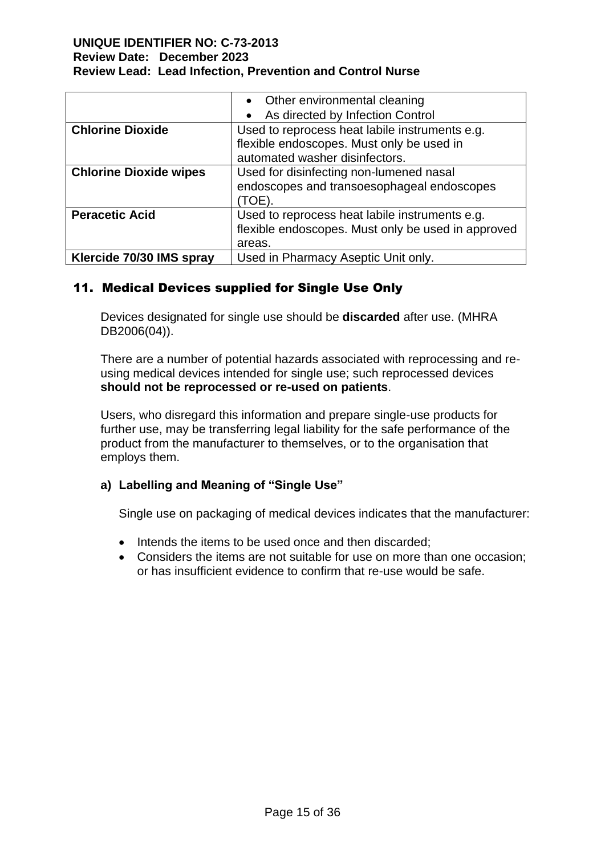|                               | • Other environmental cleaning                     |  |
|-------------------------------|----------------------------------------------------|--|
|                               | As directed by Infection Control                   |  |
| <b>Chlorine Dioxide</b>       | Used to reprocess heat labile instruments e.g.     |  |
|                               | flexible endoscopes. Must only be used in          |  |
|                               | automated washer disinfectors.                     |  |
| <b>Chlorine Dioxide wipes</b> | Used for disinfecting non-lumened nasal            |  |
|                               | endoscopes and transoesophageal endoscopes         |  |
|                               | (TOE).                                             |  |
| <b>Peracetic Acid</b>         | Used to reprocess heat labile instruments e.g.     |  |
|                               | flexible endoscopes. Must only be used in approved |  |
|                               | areas.                                             |  |
| Klercide 70/30 IMS spray      | Used in Pharmacy Aseptic Unit only.                |  |

## 11. Medical Devices supplied for Single Use Only

Devices designated for single use should be **discarded** after use. (MHRA DB2006(04)).

There are a number of potential hazards associated with reprocessing and reusing medical devices intended for single use; such reprocessed devices **should not be reprocessed or re-used on patients**.

Users, who disregard this information and prepare single-use products for further use, may be transferring legal liability for the safe performance of the product from the manufacturer to themselves, or to the organisation that employs them.

## **a) Labelling and Meaning of "Single Use"**

Single use on packaging of medical devices indicates that the manufacturer:

- Intends the items to be used once and then discarded;
- Considers the items are not suitable for use on more than one occasion; or has insufficient evidence to confirm that re-use would be safe.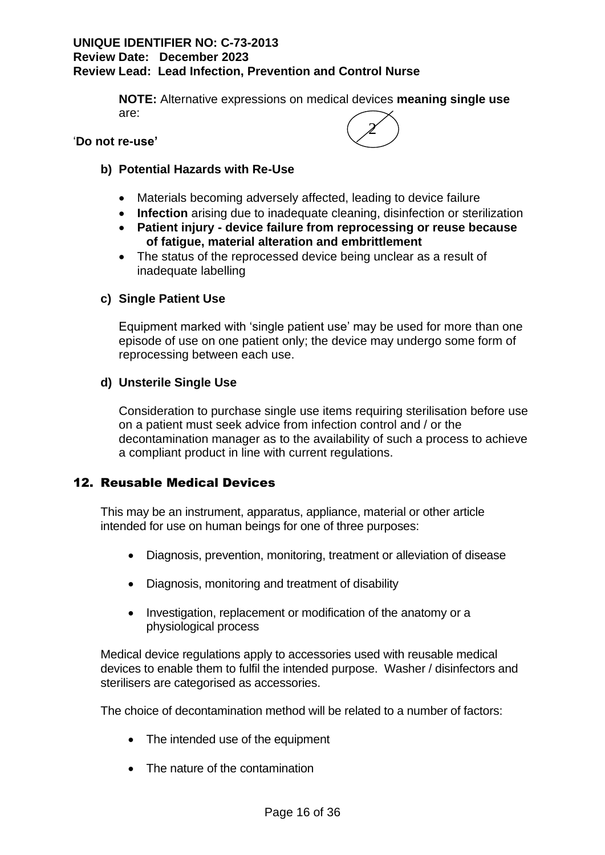**NOTE:** Alternative expressions on medical devices **meaning single use** are:

#### '**Do not re-use'**



## **b) Potential Hazards with Re-Use**

- Materials becoming adversely affected, leading to device failure
- **Infection** arising due to inadequate cleaning, disinfection or sterilization
- **Patient injury - device failure from reprocessing or reuse because of fatigue, material alteration and embrittlement**
- The status of the reprocessed device being unclear as a result of inadequate labelling

## **c) Single Patient Use**

Equipment marked with 'single patient use' may be used for more than one episode of use on one patient only; the device may undergo some form of reprocessing between each use.

#### **d) Unsterile Single Use**

Consideration to purchase single use items requiring sterilisation before use on a patient must seek advice from infection control and / or the decontamination manager as to the availability of such a process to achieve a compliant product in line with current regulations.

## 12. Reusable Medical Devices

This may be an instrument, apparatus, appliance, material or other article intended for use on human beings for one of three purposes:

- Diagnosis, prevention, monitoring, treatment or alleviation of disease
- Diagnosis, monitoring and treatment of disability
- Investigation, replacement or modification of the anatomy or a physiological process

Medical device regulations apply to accessories used with reusable medical devices to enable them to fulfil the intended purpose. Washer / disinfectors and sterilisers are categorised as accessories.

The choice of decontamination method will be related to a number of factors:

- The intended use of the equipment
- The nature of the contamination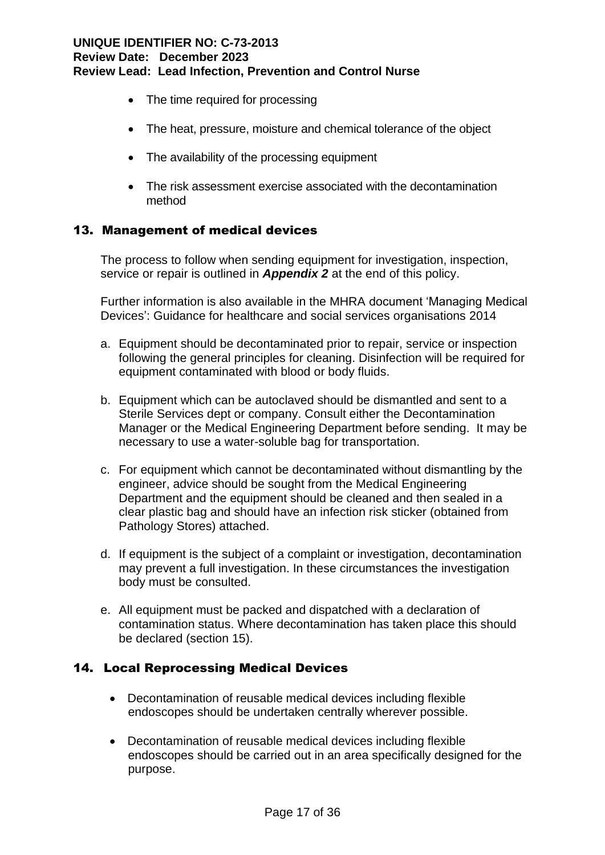- The time required for processing
- The heat, pressure, moisture and chemical tolerance of the object
- The availability of the processing equipment
- The risk assessment exercise associated with the decontamination method

## 13. Management of medical devices

The process to follow when sending equipment for investigation, inspection, service or repair is outlined in *Appendix 2* at the end of this policy.

Further information is also available in the MHRA document 'Managing Medical Devices': Guidance for healthcare and social services organisations 2014

- a. Equipment should be decontaminated prior to repair, service or inspection following the general principles for cleaning. Disinfection will be required for equipment contaminated with blood or body fluids.
- b. Equipment which can be autoclaved should be dismantled and sent to a Sterile Services dept or company. Consult either the Decontamination Manager or the Medical Engineering Department before sending. It may be necessary to use a water-soluble bag for transportation.
- c. For equipment which cannot be decontaminated without dismantling by the engineer, advice should be sought from the Medical Engineering Department and the equipment should be cleaned and then sealed in a clear plastic bag and should have an infection risk sticker (obtained from Pathology Stores) attached.
- d. If equipment is the subject of a complaint or investigation, decontamination may prevent a full investigation. In these circumstances the investigation body must be consulted.
- e. All equipment must be packed and dispatched with a declaration of contamination status. Where decontamination has taken place this should be declared (section 15).

## 14. Local Reprocessing Medical Devices

- Decontamination of reusable medical devices including flexible endoscopes should be undertaken centrally wherever possible.
- Decontamination of reusable medical devices including flexible endoscopes should be carried out in an area specifically designed for the purpose.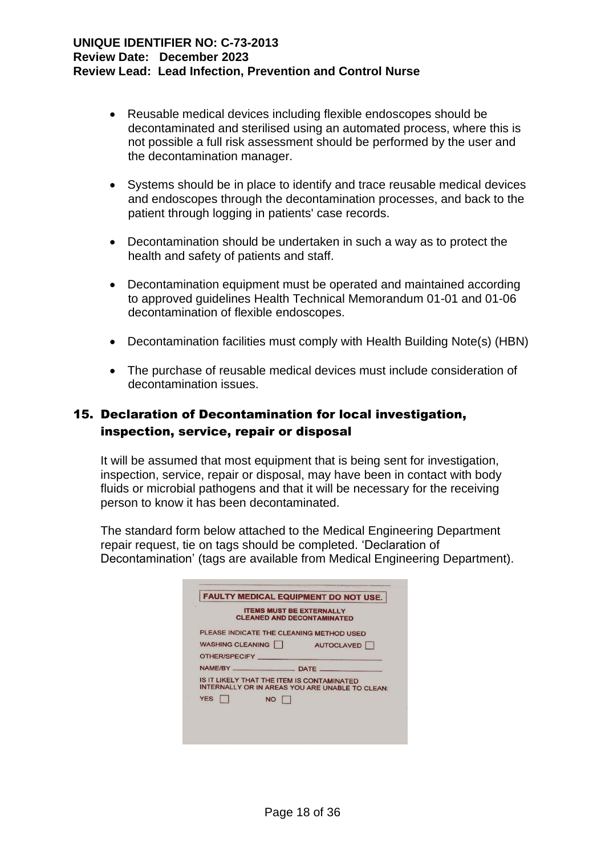- Reusable medical devices including flexible endoscopes should be decontaminated and sterilised using an automated process, where this is not possible a full risk assessment should be performed by the user and the decontamination manager.
- Systems should be in place to identify and trace reusable medical devices and endoscopes through the decontamination processes, and back to the patient through logging in patients' case records.
- Decontamination should be undertaken in such a way as to protect the health and safety of patients and staff.
- Decontamination equipment must be operated and maintained according to approved guidelines Health Technical Memorandum 01-01 and 01-06 decontamination of flexible endoscopes.
- Decontamination facilities must comply with Health Building Note(s) (HBN)
- The purchase of reusable medical devices must include consideration of decontamination issues.

## 15. Declaration of Decontamination for local investigation, inspection, service, repair or disposal

It will be assumed that most equipment that is being sent for investigation, inspection, service, repair or disposal, may have been in contact with body fluids or microbial pathogens and that it will be necessary for the receiving person to know it has been decontaminated.

The standard form below attached to the Medical Engineering Department repair request, tie on tags should be completed. 'Declaration of Decontamination' (tags are available from Medical Engineering Department).

|            |               |                  | <b>ITEMS MUST BE EXTERNALLY</b><br><b>CLEANED AND DECONTAMINATED</b>                          |
|------------|---------------|------------------|-----------------------------------------------------------------------------------------------|
|            |               |                  | PLEASE INDICATE THE CLEANING METHOD USED                                                      |
|            |               | WASHING CLEANING | AUTOCLAVED                                                                                    |
|            | OTHER/SPECIFY |                  |                                                                                               |
|            |               |                  |                                                                                               |
|            |               |                  | IS IT LIKELY THAT THE ITEM IS CONTAMINATED<br>INTERNALLY OR IN AREAS YOU ARE UNABLE TO CLEAN: |
| <b>YES</b> |               | NO               |                                                                                               |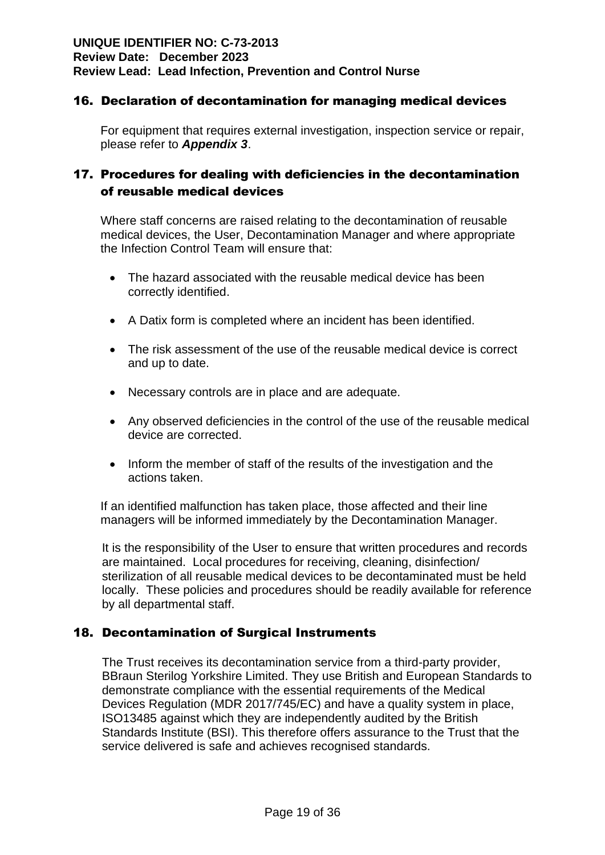## 16. Declaration of decontamination for managing medical devices

For equipment that requires external investigation, inspection service or repair, please refer to *Appendix 3*.

## 17. Procedures for dealing with deficiencies in the decontamination of reusable medical devices

Where staff concerns are raised relating to the decontamination of reusable medical devices, the User, Decontamination Manager and where appropriate the Infection Control Team will ensure that:

- The hazard associated with the reusable medical device has been correctly identified.
- A Datix form is completed where an incident has been identified.
- The risk assessment of the use of the reusable medical device is correct and up to date.
- Necessary controls are in place and are adequate.
- Any observed deficiencies in the control of the use of the reusable medical device are corrected.
- Inform the member of staff of the results of the investigation and the actions taken.

If an identified malfunction has taken place, those affected and their line managers will be informed immediately by the Decontamination Manager.

It is the responsibility of the User to ensure that written procedures and records are maintained. Local procedures for receiving, cleaning, disinfection/ sterilization of all reusable medical devices to be decontaminated must be held locally. These policies and procedures should be readily available for reference by all departmental staff.

## 18. Decontamination of Surgical Instruments

The Trust receives its decontamination service from a third-party provider, BBraun Sterilog Yorkshire Limited. They use British and European Standards to demonstrate compliance with the essential requirements of the Medical Devices Regulation (MDR 2017/745/EC) and have a quality system in place, ISO13485 against which they are independently audited by the British Standards Institute (BSI). This therefore offers assurance to the Trust that the service delivered is safe and achieves recognised standards.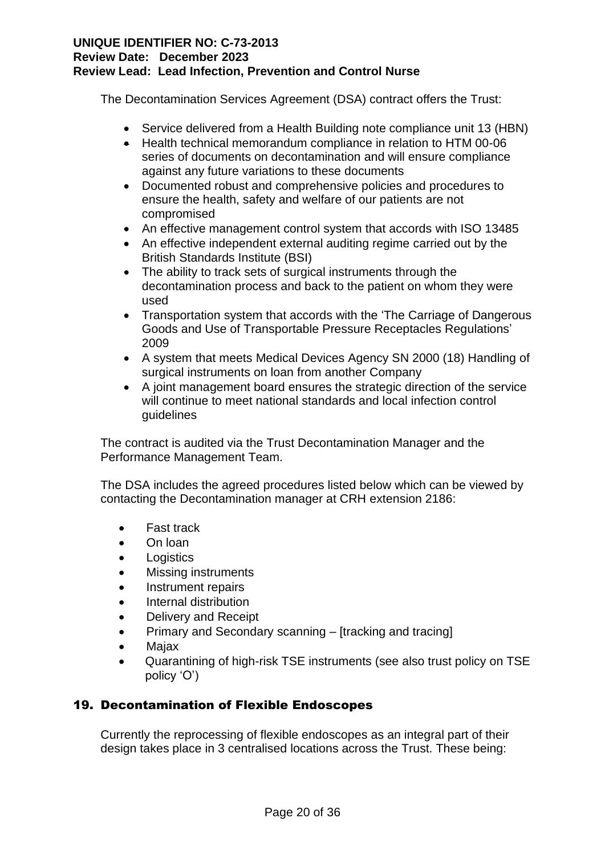The Decontamination Services Agreement (DSA) contract offers the Trust:

- Service delivered from a Health Building note compliance unit 13 (HBN)
- Health technical memorandum compliance in relation to HTM 00-06 series of documents on decontamination and will ensure compliance against any future variations to these documents
- Documented robust and comprehensive policies and procedures to ensure the health, safety and welfare of our patients are not compromised
- An effective management control system that accords with ISO 13485
- An effective independent external auditing regime carried out by the British Standards Institute (BSI)
- The ability to track sets of surgical instruments through the decontamination process and back to the patient on whom they were used
- Transportation system that accords with the 'The Carriage of Dangerous Goods and Use of Transportable Pressure Receptacles Regulations' 2009
- A system that meets Medical Devices Agency SN 2000 (18) Handling of surgical instruments on loan from another Company
- A joint management board ensures the strategic direction of the service will continue to meet national standards and local infection control guidelines

The contract is audited via the Trust Decontamination Manager and the Performance Management Team.

The DSA includes the agreed procedures listed below which can be viewed by contacting the Decontamination manager at CRH extension 2186:

- Fast track
- On loan
- **Logistics**
- Missing instruments
- Instrument repairs
- Internal distribution
- Delivery and Receipt
- Primary and Secondary scanning [tracking and tracing]
- Majax
- Quarantining of high-risk TSE instruments (see also trust policy on TSE policy 'O')

## 19. Decontamination of Flexible Endoscopes

Currently the reprocessing of flexible endoscopes as an integral part of their design takes place in 3 centralised locations across the Trust. These being: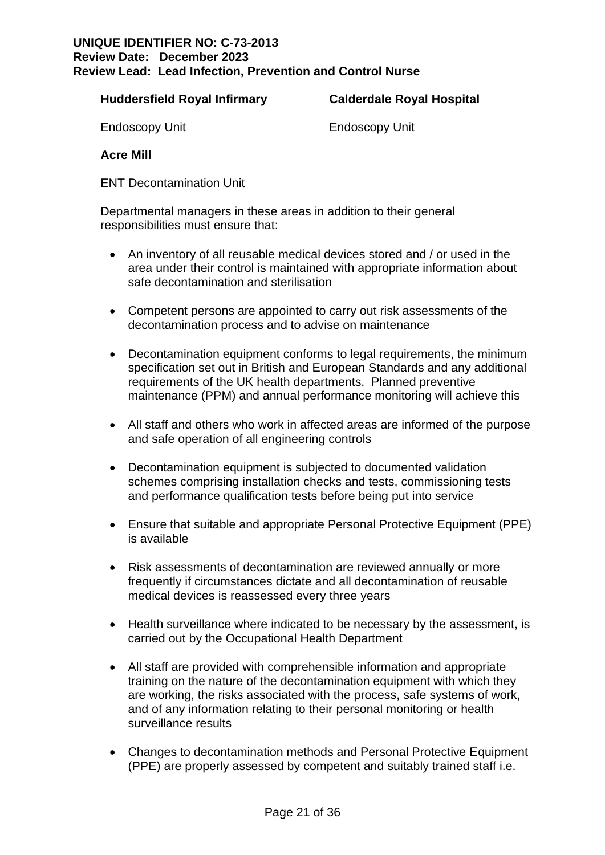#### **Huddersfield Royal Infirmary Calderdale Royal Hospital**

Endoscopy Unit Endoscopy Unit

**Acre Mill** 

ENT Decontamination Unit

Departmental managers in these areas in addition to their general responsibilities must ensure that:

- An inventory of all reusable medical devices stored and / or used in the area under their control is maintained with appropriate information about safe decontamination and sterilisation
- Competent persons are appointed to carry out risk assessments of the decontamination process and to advise on maintenance
- Decontamination equipment conforms to legal requirements, the minimum specification set out in British and European Standards and any additional requirements of the UK health departments. Planned preventive maintenance (PPM) and annual performance monitoring will achieve this
- All staff and others who work in affected areas are informed of the purpose and safe operation of all engineering controls
- Decontamination equipment is subjected to documented validation schemes comprising installation checks and tests, commissioning tests and performance qualification tests before being put into service
- Ensure that suitable and appropriate Personal Protective Equipment (PPE) is available
- Risk assessments of decontamination are reviewed annually or more frequently if circumstances dictate and all decontamination of reusable medical devices is reassessed every three years
- Health surveillance where indicated to be necessary by the assessment, is carried out by the Occupational Health Department
- All staff are provided with comprehensible information and appropriate training on the nature of the decontamination equipment with which they are working, the risks associated with the process, safe systems of work, and of any information relating to their personal monitoring or health surveillance results
- Changes to decontamination methods and Personal Protective Equipment (PPE) are properly assessed by competent and suitably trained staff i.e.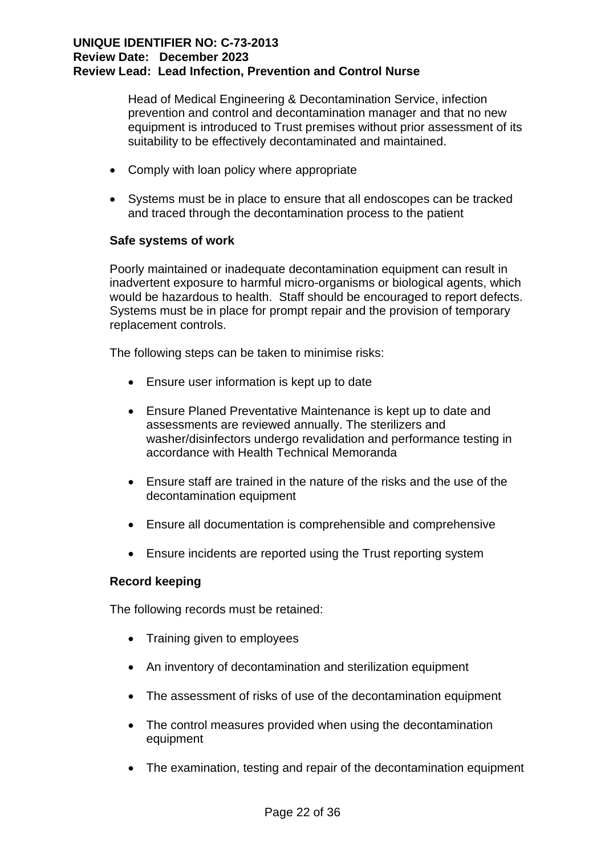Head of Medical Engineering & Decontamination Service, infection prevention and control and decontamination manager and that no new equipment is introduced to Trust premises without prior assessment of its suitability to be effectively decontaminated and maintained.

- Comply with loan policy where appropriate
- Systems must be in place to ensure that all endoscopes can be tracked and traced through the decontamination process to the patient

## **Safe systems of work**

Poorly maintained or inadequate decontamination equipment can result in inadvertent exposure to harmful micro-organisms or biological agents, which would be hazardous to health. Staff should be encouraged to report defects. Systems must be in place for prompt repair and the provision of temporary replacement controls.

The following steps can be taken to minimise risks:

- Ensure user information is kept up to date
- Ensure Planed Preventative Maintenance is kept up to date and assessments are reviewed annually. The sterilizers and washer/disinfectors undergo revalidation and performance testing in accordance with Health Technical Memoranda
- Ensure staff are trained in the nature of the risks and the use of the decontamination equipment
- Ensure all documentation is comprehensible and comprehensive
- Ensure incidents are reported using the Trust reporting system

## **Record keeping**

The following records must be retained:

- Training given to employees
- An inventory of decontamination and sterilization equipment
- The assessment of risks of use of the decontamination equipment
- The control measures provided when using the decontamination equipment
- The examination, testing and repair of the decontamination equipment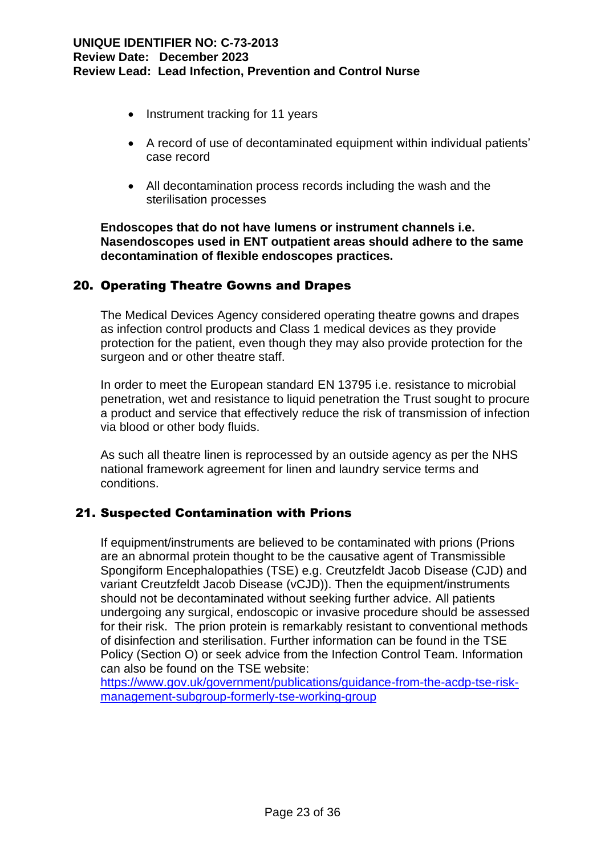- Instrument tracking for 11 years
- A record of use of decontaminated equipment within individual patients' case record
- All decontamination process records including the wash and the sterilisation processes

**Endoscopes that do not have lumens or instrument channels i.e. Nasendoscopes used in ENT outpatient areas should adhere to the same decontamination of flexible endoscopes practices.**

## 20. Operating Theatre Gowns and Drapes

The Medical Devices Agency considered operating theatre gowns and drapes as infection control products and Class 1 medical devices as they provide protection for the patient, even though they may also provide protection for the surgeon and or other theatre staff.

In order to meet the European standard EN 13795 i.e. resistance to microbial penetration, wet and resistance to liquid penetration the Trust sought to procure a product and service that effectively reduce the risk of transmission of infection via blood or other body fluids.

As such all theatre linen is reprocessed by an outside agency as per the NHS national framework agreement for linen and laundry service terms and conditions.

## 21. Suspected Contamination with Prions

If equipment/instruments are believed to be contaminated with prions (Prions are an abnormal protein thought to be the causative agent of Transmissible Spongiform Encephalopathies (TSE) e.g. Creutzfeldt Jacob Disease (CJD) and variant Creutzfeldt Jacob Disease (vCJD)). Then the equipment/instruments should not be decontaminated without seeking further advice. All patients undergoing any surgical, endoscopic or invasive procedure should be assessed for their risk. The prion protein is remarkably resistant to conventional methods of disinfection and sterilisation. Further information can be found in the TSE Policy (Section O) or seek advice from the Infection Control Team. Information can also be found on the TSE website:

[https://www.gov.uk/government/publications/guidance-from-the-acdp-tse-risk](https://www.gov.uk/government/publications/guidance-from-the-acdp-tse-risk-management-subgroup-formerly-tse-working-group)[management-subgroup-formerly-tse-working-group](https://www.gov.uk/government/publications/guidance-from-the-acdp-tse-risk-management-subgroup-formerly-tse-working-group)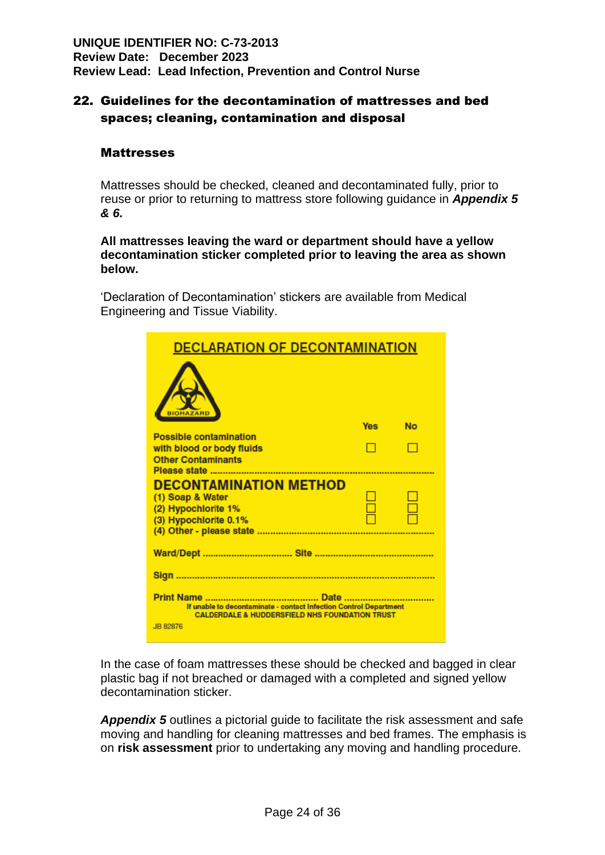## 22. Guidelines for the decontamination of mattresses and bed spaces; cleaning, contamination and disposal

## **Mattresses**

Mattresses should be checked, cleaned and decontaminated fully, prior to reuse or prior to returning to mattress store following guidance in *Appendix 5 & 6.*

#### **All mattresses leaving the ward or department should have a yellow decontamination sticker completed prior to leaving the area as shown below.**

'Declaration of Decontamination' stickers are available from Medical Engineering and Tissue Viability.

| <b>DECLARATION OF DECONTAMINATION</b>                                                                                          |            |           |
|--------------------------------------------------------------------------------------------------------------------------------|------------|-----------|
|                                                                                                                                |            |           |
|                                                                                                                                | <b>Yes</b> | <b>No</b> |
| <b>Possible contamination</b><br>with blood or body fluids<br><b>Other Contaminants</b>                                        |            |           |
|                                                                                                                                |            |           |
| <b>DECONTAMINATION METHOD</b>                                                                                                  |            |           |
| (1) Soap & Water                                                                                                               |            |           |
| (2) Hypochlorite 1%<br>(3) Hypochlorite 0.1%                                                                                   |            |           |
|                                                                                                                                |            |           |
|                                                                                                                                |            |           |
|                                                                                                                                |            |           |
|                                                                                                                                |            |           |
| If unable to decontaminate - contact Infection Control Department<br><b>CALDERDALE &amp; HUDDERSFIELD NHS FOUNDATION TRUST</b> |            |           |
| JB 82876                                                                                                                       |            |           |

In the case of foam mattresses these should be checked and bagged in clear plastic bag if not breached or damaged with a completed and signed yellow decontamination sticker.

**Appendix 5** outlines a pictorial quide to facilitate the risk assessment and safe moving and handling for cleaning mattresses and bed frames. The emphasis is on **risk assessment** prior to undertaking any moving and handling procedure.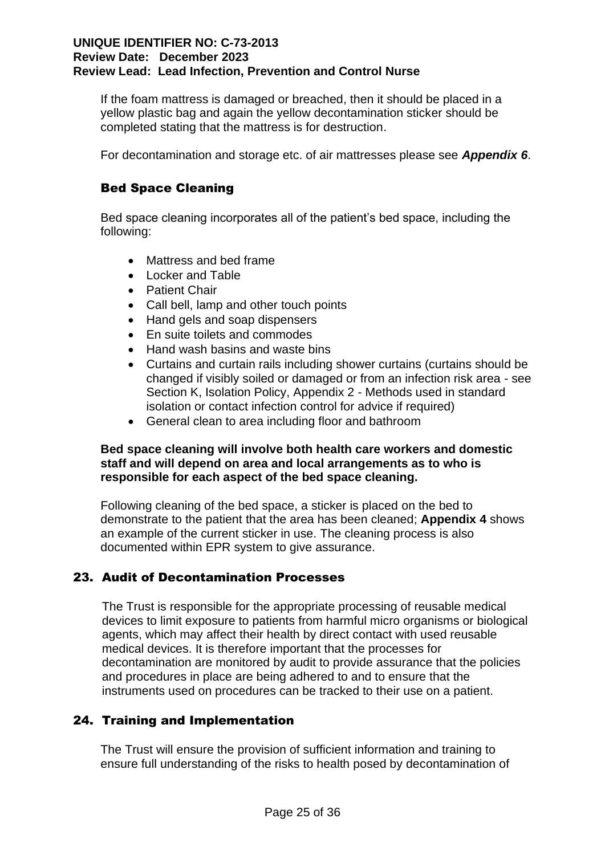If the foam mattress is damaged or breached, then it should be placed in a yellow plastic bag and again the yellow decontamination sticker should be completed stating that the mattress is for destruction.

For decontamination and storage etc. of air mattresses please see *Appendix 6*.

## Bed Space Cleaning

Bed space cleaning incorporates all of the patient's bed space, including the following:

- Mattress and bed frame
- Locker and Table
- Patient Chair
- Call bell, lamp and other touch points
- Hand gels and soap dispensers
- En suite toilets and commodes
- Hand wash basins and waste bins
- Curtains and curtain rails including shower curtains (curtains should be changed if visibly soiled or damaged or from an infection risk area - see Section K, Isolation Policy, Appendix 2 - Methods used in standard isolation or contact infection control for advice if required)
- General clean to area including floor and bathroom

## **Bed space cleaning will involve both health care workers and domestic staff and will depend on area and local arrangements as to who is responsible for each aspect of the bed space cleaning.**

Following cleaning of the bed space, a sticker is placed on the bed to demonstrate to the patient that the area has been cleaned; **Appendix 4** shows an example of the current sticker in use. The cleaning process is also documented within EPR system to give assurance.

## 23. Audit of Decontamination Processes

The Trust is responsible for the appropriate processing of reusable medical devices to limit exposure to patients from harmful micro organisms or biological agents, which may affect their health by direct contact with used reusable medical devices. It is therefore important that the processes for decontamination are monitored by audit to provide assurance that the policies and procedures in place are being adhered to and to ensure that the instruments used on procedures can be tracked to their use on a patient.

## 24. Training and Implementation

The Trust will ensure the provision of sufficient information and training to ensure full understanding of the risks to health posed by decontamination of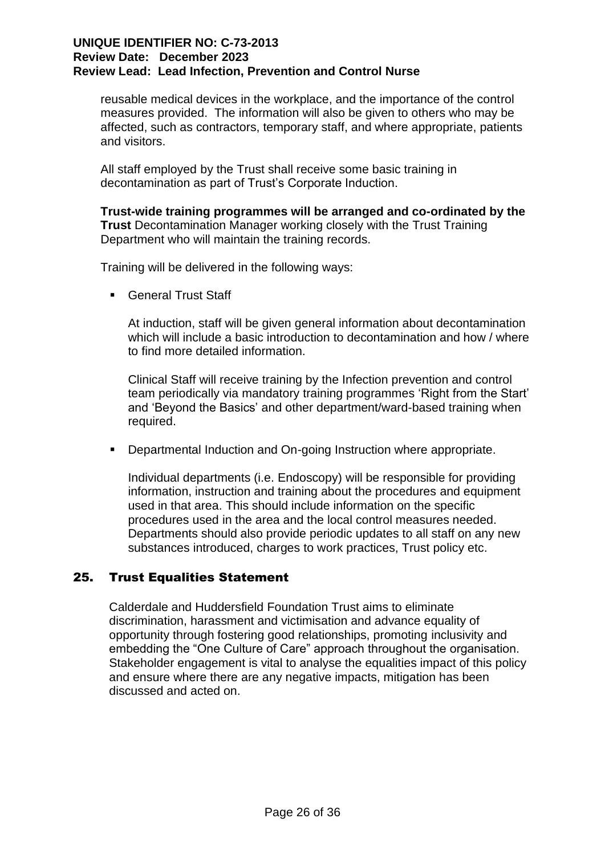reusable medical devices in the workplace, and the importance of the control measures provided. The information will also be given to others who may be affected, such as contractors, temporary staff, and where appropriate, patients and visitors.

All staff employed by the Trust shall receive some basic training in decontamination as part of Trust's Corporate Induction.

**Trust-wide training programmes will be arranged and co-ordinated by the Trust** Decontamination Manager working closely with the Trust Training Department who will maintain the training records.

Training will be delivered in the following ways:

■ General Trust Staff

At induction, staff will be given general information about decontamination which will include a basic introduction to decontamination and how / where to find more detailed information.

Clinical Staff will receive training by the Infection prevention and control team periodically via mandatory training programmes 'Right from the Start' and 'Beyond the Basics' and other department/ward-based training when required.

■ Departmental Induction and On-going Instruction where appropriate.

Individual departments (i.e. Endoscopy) will be responsible for providing information, instruction and training about the procedures and equipment used in that area. This should include information on the specific procedures used in the area and the local control measures needed. Departments should also provide periodic updates to all staff on any new substances introduced, charges to work practices, Trust policy etc.

## 25. Trust Equalities Statement

Calderdale and Huddersfield Foundation Trust aims to eliminate discrimination, harassment and victimisation and advance equality of opportunity through fostering good relationships, promoting inclusivity and embedding the "One Culture of Care" approach throughout the organisation. Stakeholder engagement is vital to analyse the equalities impact of this policy and ensure where there are any negative impacts, mitigation has been discussed and acted on.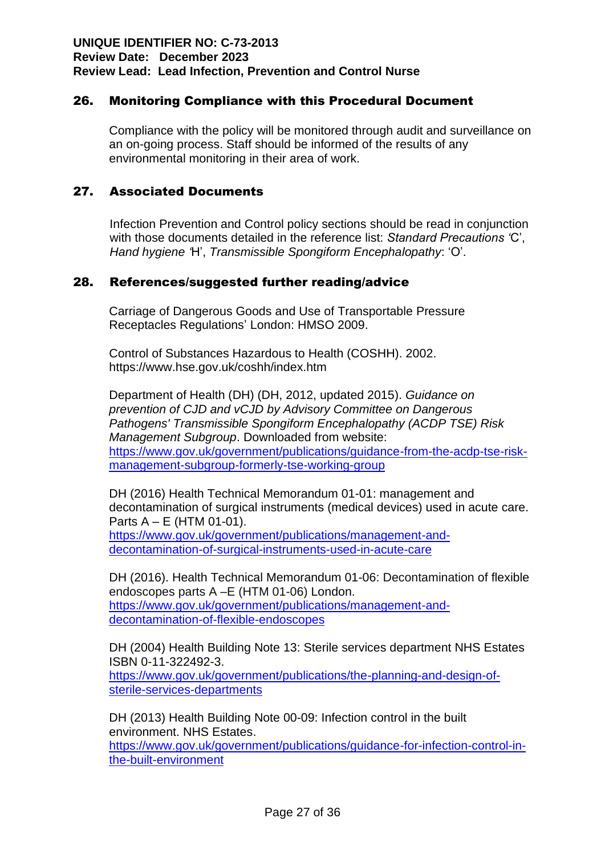## 26. Monitoring Compliance with this Procedural Document

Compliance with the policy will be monitored through audit and surveillance on an on-going process. Staff should be informed of the results of any environmental monitoring in their area of work.

## 27. Associated Documents

Infection Prevention and Control policy sections should be read in conjunction with those documents detailed in the reference list: *Standard Precautions '*C', *Hand hygiene '*H', *Transmissible Spongiform Encephalopathy*: 'O'.

## 28. References/suggested further reading/advice

Carriage of Dangerous Goods and Use of Transportable Pressure Receptacles Regulations' London: HMSO 2009.

Control of Substances Hazardous to Health (COSHH). 2002. https://www.hse.gov.uk/coshh/index.htm

Department of Health (DH) (DH, 2012, updated 2015). *Guidance on prevention of CJD and vCJD by Advisory Committee on Dangerous Pathogens' Transmissible Spongiform Encephalopathy (ACDP TSE) Risk Management Subgroup*. Downloaded from website: [https://www.gov.uk/government/publications/guidance-from-the-acdp-tse-risk](https://www.gov.uk/government/publications/guidance-from-the-acdp-tse-risk-management-subgroup-formerly-tse-working-group)[management-subgroup-formerly-tse-working-group](https://www.gov.uk/government/publications/guidance-from-the-acdp-tse-risk-management-subgroup-formerly-tse-working-group)

DH (2016) Health Technical Memorandum 01-01: management and decontamination of surgical instruments (medical devices) used in acute care. Parts A – E (HTM 01-01).

[https://www.gov.uk/government/publications/management-and](https://www.gov.uk/government/publications/management-and-decontamination-of-surgical-instruments-used-in-acute-care)[decontamination-of-surgical-instruments-used-in-acute-care](https://www.gov.uk/government/publications/management-and-decontamination-of-surgical-instruments-used-in-acute-care)

DH (2016). Health Technical Memorandum 01-06: Decontamination of flexible endoscopes parts A –E (HTM 01-06) London. [https://www.gov.uk/government/publications/management-and](https://www.gov.uk/government/publications/management-and-decontamination-of-flexible-endoscopes)[decontamination-of-flexible-endoscopes](https://www.gov.uk/government/publications/management-and-decontamination-of-flexible-endoscopes)

DH (2004) Health Building Note 13: Sterile services department NHS Estates ISBN 0-11-322492-3.

[https://www.gov.uk/government/publications/the-planning-and-design-of](https://www.gov.uk/government/publications/the-planning-and-design-of-sterile-services-departments)[sterile-services-departments](https://www.gov.uk/government/publications/the-planning-and-design-of-sterile-services-departments)

DH (2013) Health Building Note 00-09: Infection control in the built environment. NHS Estates.

[https://www.gov.uk/government/publications/guidance-for-infection-control-in](https://www.gov.uk/government/publications/guidance-for-infection-control-in-the-built-environment)[the-built-environment](https://www.gov.uk/government/publications/guidance-for-infection-control-in-the-built-environment)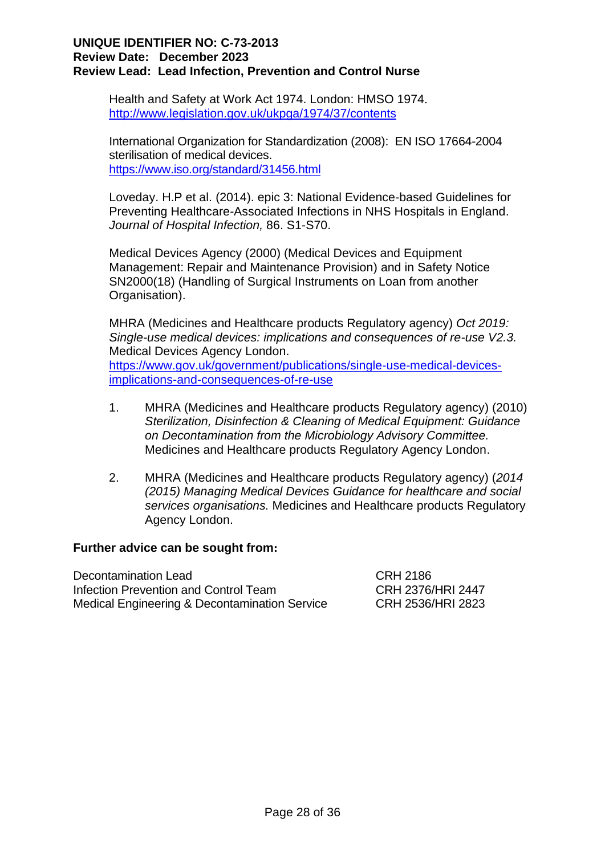Health and Safety at Work Act 1974. London: HMSO 1974. <http://www.legislation.gov.uk/ukpga/1974/37/contents>

International Organization for Standardization (2008): EN ISO 17664-2004 sterilisation of medical devices. <https://www.iso.org/standard/31456.html>

Loveday. H.P et al. (2014). epic 3: National Evidence-based Guidelines for Preventing Healthcare-Associated Infections in NHS Hospitals in England. *Journal of Hospital Infection,* 86. S1-S70.

Medical Devices Agency (2000) (Medical Devices and Equipment Management: Repair and Maintenance Provision) and in Safety Notice SN2000(18) (Handling of Surgical Instruments on Loan from another Organisation).

MHRA (Medicines and Healthcare products Regulatory agency) *Oct 2019: Single-use medical devices: implications and consequences of re-use V2.3.*  Medical Devices Agency London. [https://www.gov.uk/government/publications/single-use-medical-devices](https://www.gov.uk/government/publications/single-use-medical-devices-implications-and-consequences-of-re-use)[implications-and-consequences-of-re-use](https://www.gov.uk/government/publications/single-use-medical-devices-implications-and-consequences-of-re-use)

- 1. MHRA (Medicines and Healthcare products Regulatory agency) (2010) *Sterilization, Disinfection & Cleaning of Medical Equipment: Guidance on Decontamination from the Microbiology Advisory Committee.* Medicines and Healthcare products Regulatory Agency London.
- 2. MHRA (Medicines and Healthcare products Regulatory agency) (*2014 (2015) Managing Medical Devices Guidance for healthcare and social services organisations.* Medicines and Healthcare products Regulatory Agency London.

## **Further advice can be sought from:**

Decontamination Lead CRH 2186 Infection Prevention and Control Team CRH 2376/HRI 2447 Medical Engineering & Decontamination Service CRH 2536/HRI 2823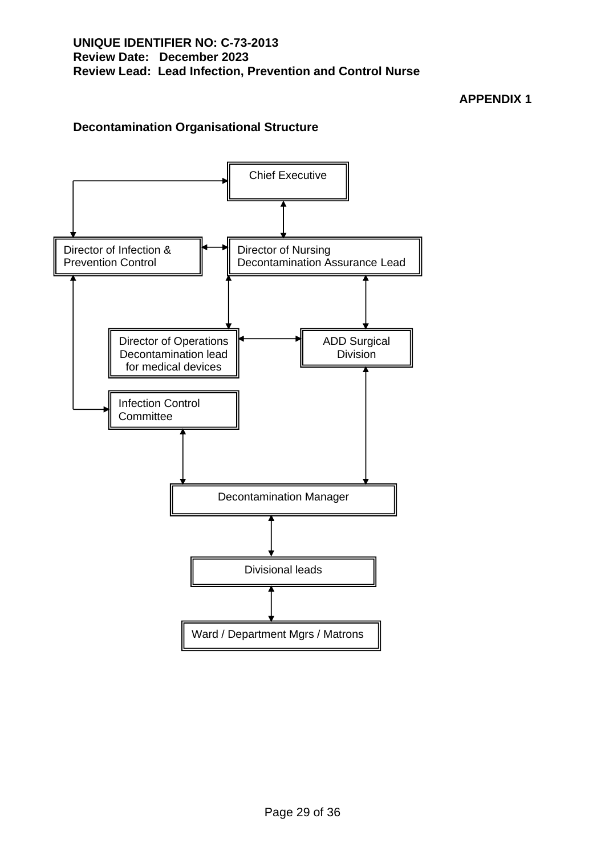## **APPENDIX 1**

## **Decontamination Organisational Structure**

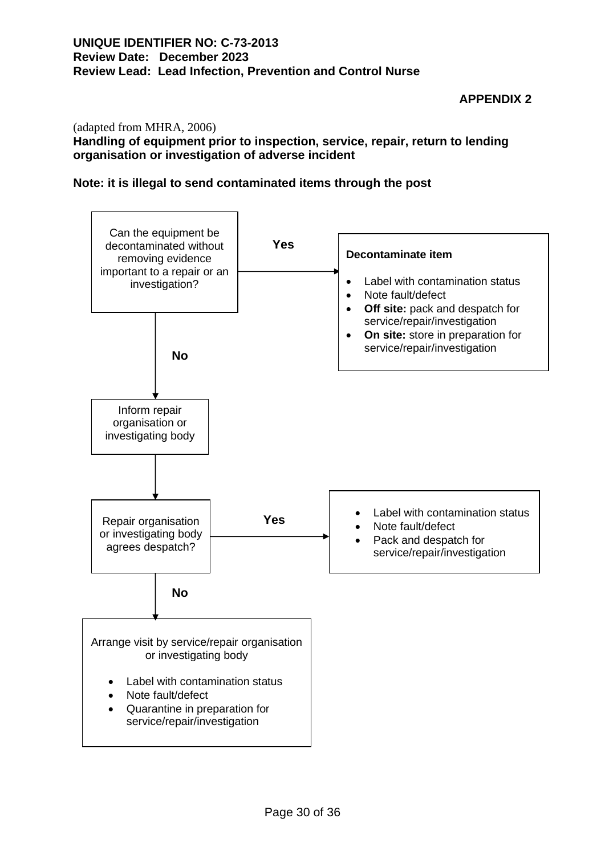## **APPENDIX 2**

#### (adapted from MHRA, 2006)

#### **Handling of equipment prior to inspection, service, repair, return to lending organisation or investigation of adverse incident**

#### **Note: it is illegal to send contaminated items through the post**

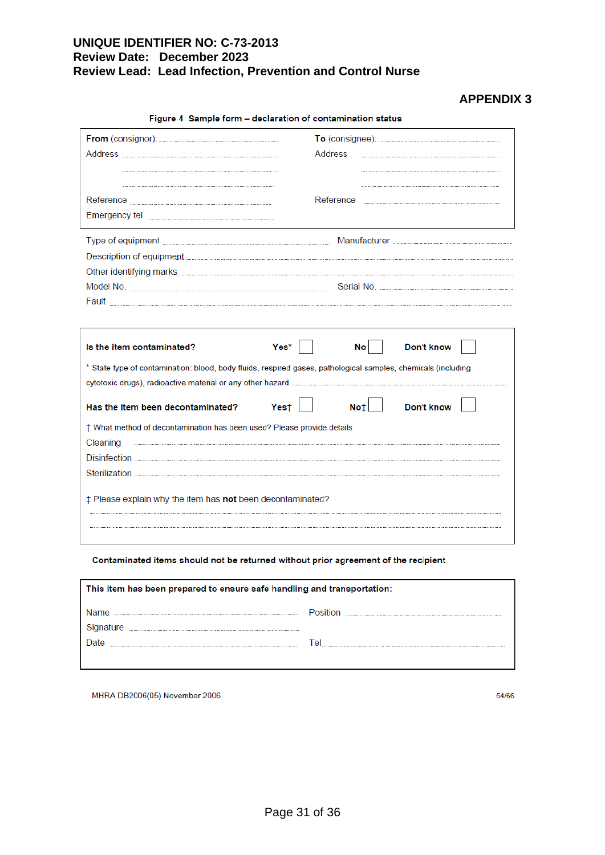## **APPENDIX 3**

| Figure 4 Sample form - declaration of contamination status                                                    |                                 |  |
|---------------------------------------------------------------------------------------------------------------|---------------------------------|--|
|                                                                                                               |                                 |  |
|                                                                                                               | Address                         |  |
|                                                                                                               |                                 |  |
|                                                                                                               |                                 |  |
| Emergency tel www.www.www.www.www.www.www.www.ww                                                              |                                 |  |
|                                                                                                               |                                 |  |
|                                                                                                               |                                 |  |
|                                                                                                               | Other identifying marks         |  |
|                                                                                                               |                                 |  |
|                                                                                                               |                                 |  |
|                                                                                                               |                                 |  |
| Is the item contaminated?                                                                                     | Yes*<br><b>No</b><br>Don't know |  |
| * State type of contamination: blood, body fluids, respired gases, pathological samples, chemicals (including |                                 |  |
|                                                                                                               |                                 |  |
| Has the item been decontaminated? Yes†                                                                        | <b>Don't know</b>               |  |
| † What method of decontamination has been used? Please provide details                                        |                                 |  |
| Cleaning                                                                                                      |                                 |  |
|                                                                                                               |                                 |  |
|                                                                                                               |                                 |  |
| ‡ Please explain why the item has not been decontaminated?                                                    |                                 |  |

#### Contaminated items should not be returned without prior agreement of the recipient

| This item has been prepared to ensure safe handling and transportation: |                 |  |
|-------------------------------------------------------------------------|-----------------|--|
|                                                                         | <b>Position</b> |  |
| Signature                                                               |                 |  |
| Date                                                                    | l e             |  |
|                                                                         |                 |  |

MHRA DB2006(05) November 2006

54/66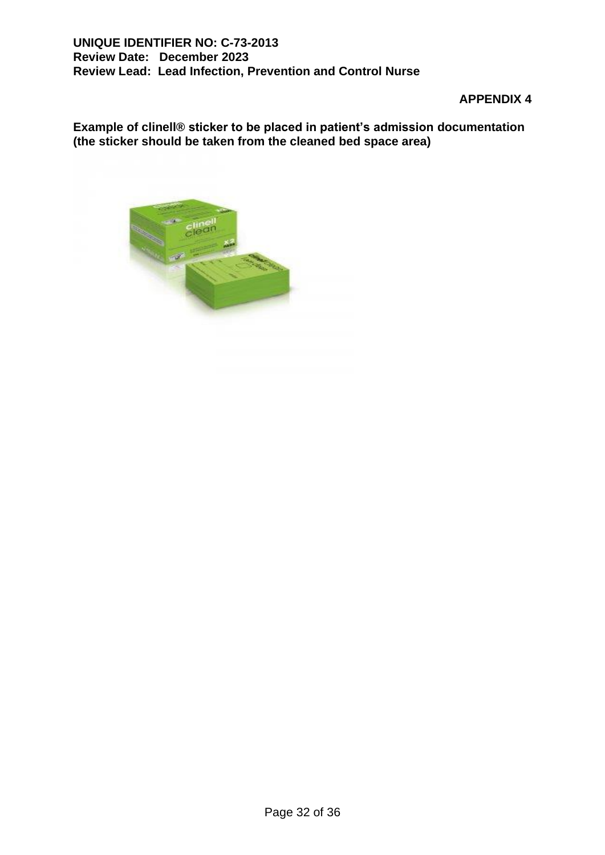## **APPENDIX 4**

**Example of clinell® sticker to be placed in patient's admission documentation (the sticker should be taken from the cleaned bed space area)**

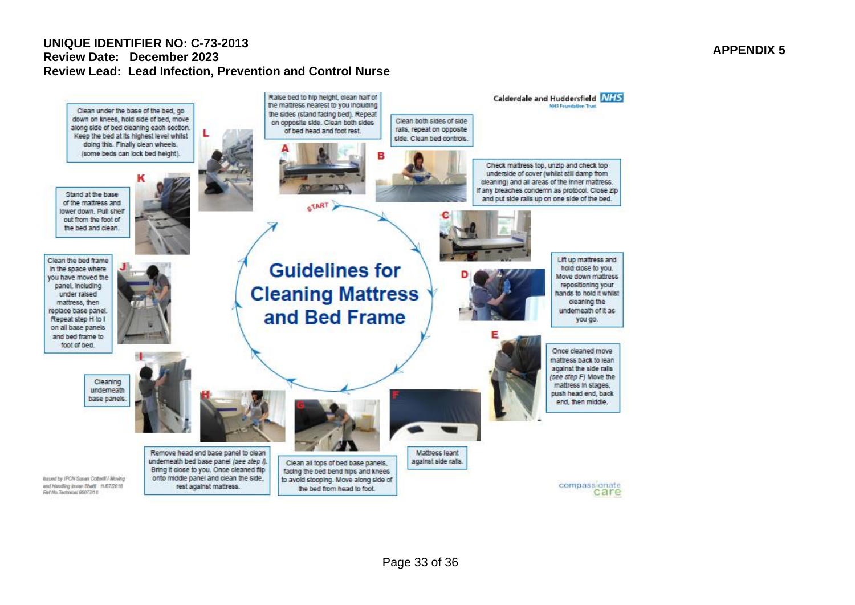

#### **APPENDIX 5**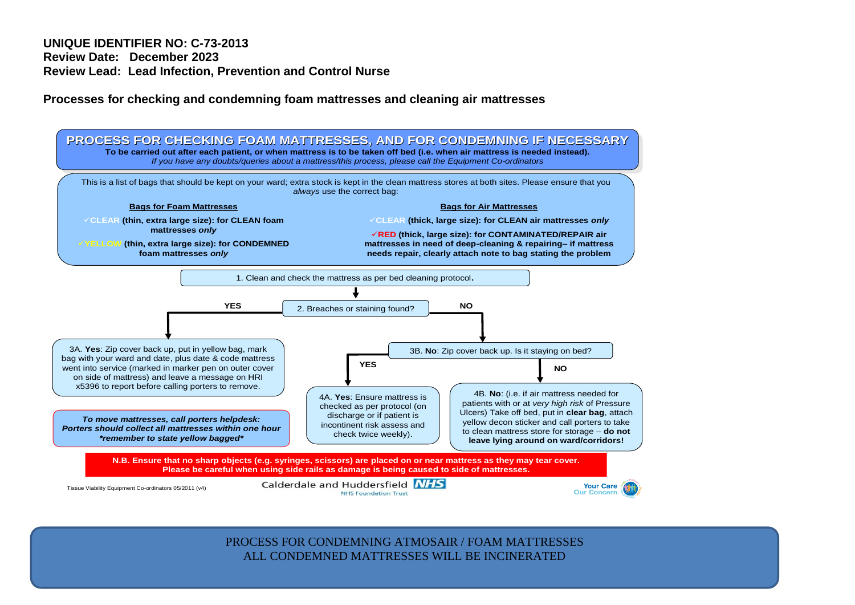**Processes for checking and condemning foam mattresses and cleaning air mattresses**



ALL CONDEMNED MATTRESSES WILL BE INCINERATED PROCESS FOR CONDEMNING ATMOSAIR / FOAM MATTRESSES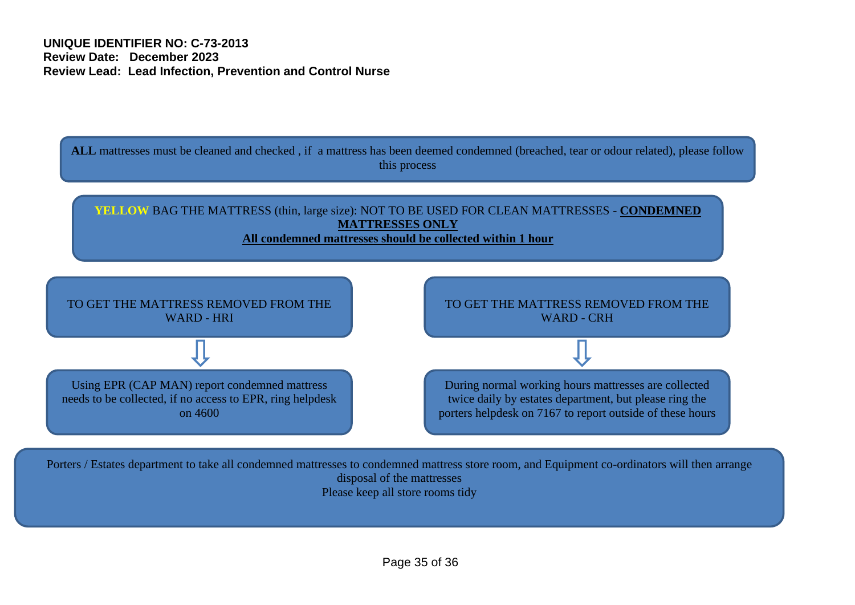

Porters / Estates department to take all condemned mattresses to condemned mattress store room, and Equipment co-ordinators will then arrange disposal of the mattresses Please keep all store rooms tidy